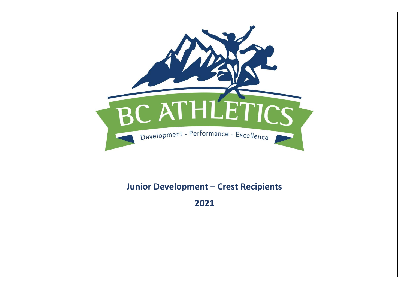

## **Junior Development – Crest Recipients**

**2021**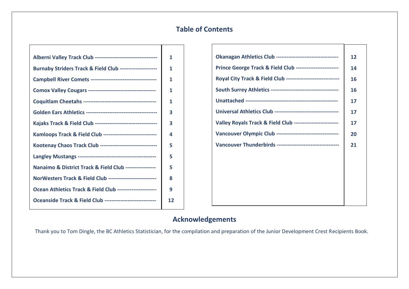## **Table of Contents**

| Alberni Valley Track Club ----------------------------------- | 1  |
|---------------------------------------------------------------|----|
| Burnaby Striders Track & Field Club --------------------      | 1  |
|                                                               | 1  |
|                                                               | 1  |
|                                                               | 1  |
|                                                               | 3  |
| Kajaks Track & Field Club ----------------------------------  | 3  |
| Kamloops Track & Field Club -----------------------------     | 4  |
| Kootenay Chaos Track Club -------------------------------     | 5  |
|                                                               | 5  |
| Nanaimo & District Track & Field Club -----------------       | 5  |
| NorWesters Track & Field Club --------------------------      | 8  |
| Ocean Athletics Track & Field Club ----------------------     | 9  |
| Oceanside Track & Field Club -----------------------------    | 12 |
|                                                               |    |

| Okanagan Athletics Club ----------------------------------- | 12        |
|-------------------------------------------------------------|-----------|
| Prince George Track & Field Club -----------------------    | 14        |
| Royal City Track & Field Club ----------------------------- | 16        |
|                                                             | <b>16</b> |
|                                                             | 17        |
|                                                             | 17        |
| Valley Royals Track & Field Club ------------------------   | 17        |
| Vancouver Olympic Club -----------------------------------  | 20        |
| Vancouver Thunderbirds -----------------------------------  | 21        |
|                                                             |           |
|                                                             |           |
|                                                             |           |
|                                                             |           |
|                                                             |           |

## **Acknowledgements**

Thank you to Tom Dingle, the BC Athletics Statistician, for the compilation and preparation of the Junior Development Crest Recipients Book.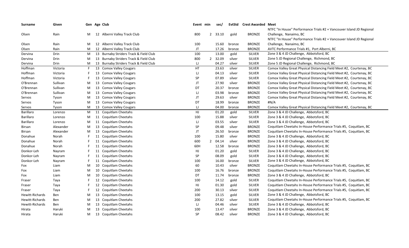| Surname         | Given     |   | Gen Age Club                           | Event min |                | sec/    |        | <b>EvtStd</b> Crest Awarded Meet |                                                                      |
|-----------------|-----------|---|----------------------------------------|-----------|----------------|---------|--------|----------------------------------|----------------------------------------------------------------------|
|                 |           |   |                                        |           |                |         |        |                                  | NTFC "In House" Performance Trials #2 + Vancouver Island JD Regional |
| Olsen           | Rain      | M | 12 Alberni Valley Track Club           | 800       |                | 2 33.10 | gold   | <b>BRONZE</b>                    | Challenge, Nanaimo, BC                                               |
|                 |           |   |                                        |           |                |         |        |                                  | NTFC "In House" Performance Trials #2 + Vancouver Island JD Regional |
| Olsen           | Rain      | M | 12 Alberni Valley Track Club           | 100       |                | 15.60   | bronze | <b>BRONZE</b>                    | Challenge, Nanaimo, BC                                               |
| Olsen           | Rain      | M | 12 Alberni Valley Track Club           | JT        |                | 17.26   | bronze | <b>BRONZE</b>                    | AVTC Performance Trials #1, Port Alberni, BC                         |
| Dervina         | Drin      | M | 13 Burnaby Striders Track & Field Club | 100       |                | 13.00   | gold   | <b>SILVER</b>                    | Zone 3 & 4 JD Challenge, Abbotsford, BC                              |
| Dervina         | Drin      | M | 13 Burnaby Striders Track & Field Club | 800       |                | 2 32.09 | silver | <b>SILVER</b>                    | Zone 5 JD Regional Challenge, Richmond, BC                           |
| Dervina         | Drin      | M | 13 Burnaby Striders Track & Field Club | IJ        |                | 04.27   | silver | <b>SILVER</b>                    | Zone 5 JD Regional Challenge, Richmond, BC                           |
| Hoffman         | Victoria  | F | 13 Comox Valley Cougars                | <b>HT</b> |                | 23.63   | silver | <b>SILVER</b>                    | Comox Valley Great Physical Distancing Field Meet #2, Courtenay, BC  |
| Hoffman         | Victoria  |   | 13 Comox Valley Cougars                | IJ        |                | 04.13   | silver | <b>SILVER</b>                    | Comox Valley Great Physical Distancing Field Meet #2, Courtenay, BC  |
| Hoffman         | Victoria  | F | 13 Comox Valley Cougars                | <b>SP</b> |                | 07.89   | silver | <b>SILVER</b>                    | Comox Valley Great Physical Distancing Field Meet #2, Courtenay, BC  |
| O'Brennan       | Sullivan  | M | 13 Comox Valley Cougars                | JT        |                | 27.90   | silver | <b>BRONZE</b>                    | Comox Valley Great Physical Distancing Field Meet #2, Courtenay, BC  |
| O'Brennan       | Sullivan  | M | 13 Comox Valley Cougars                | DT        |                | 20.37   | bronze | <b>BRONZE</b>                    | Comox Valley Great Physical Distancing Field Meet #2, Courtenay, BC  |
| O'Brennan       | Sullivan  | M | 13 Comox Valley Cougars                | IJ        |                | 03.98   | bronze | <b>BRONZE</b>                    | Comox Valley Great Physical Distancing Field Meet #2, Courtenay, BC  |
| Servos          | Tyson     | M | 13 Comox Valley Cougars                | JT        |                | 29.63   | silver | <b>BRONZE</b>                    | Comox Valley Great Physical Distancing Field Meet #2, Courtenay, BC  |
| Servos          | Tyson     | M | 13 Comox Valley Cougars                | DT        |                | 18.99   | bronze | <b>BRONZE</b>                    | #N/A                                                                 |
| Servos          | Tyson     | M | 13 Comox Valley Cougars                | IJ        |                | 04.00   | bronze | <b>BRONZE</b>                    | Comox Valley Great Physical Distancing Field Meet #2, Courtenay, BC  |
| Barillaro       | Lorenzo   | M | 11 Coquitlam Cheetahs                  | HJ        |                | 01.20   | gold   | <b>SILVER</b>                    | Zone 3 & 4 JD Challenge, Abbotsford, BC                              |
| Barillaro       | Lorenzo   | M | 11 Coquitlam Cheetahs                  | 100       |                | 15.88   | silver | <b>SILVER</b>                    | Zone 3 & 4 JD Challenge, Abbotsford, BC                              |
| Barillaro       | Lorenzo   | M | 11 Coquitlam Cheetahs                  | IJ        |                | 03.55   | silver | <b>SILVER</b>                    | Zone 3 & 4 JD Challenge, Abbotsford, BC                              |
| Birsan          | Alexander | M | 13 Coquitlam Cheetahs                  | <b>SP</b> |                | 09.48   | silver | <b>BRONZE</b>                    | Coquitlam Cheetahs In-House Performance Trials #5, Coquitlam, BC     |
| Birsan          | Alexander | M | 13 Coquitlam Cheetahs                  | JT        |                | 26.50   | bronze | <b>BRONZE</b>                    | Coquitlam Cheetahs In-House Performance Trials #5, Coquitlam, BC     |
| Donahue         | Norah     |   | 11 Coquitlam Cheetahs                  | 100       |                | 15.80   | silver | <b>BRONZE</b>                    | Zone 3 & 4 JD Challenge, Abbotsford, BC                              |
| Donahue         | Norah     |   | 11 Coquitlam Cheetahs                  | 600       | $\overline{2}$ | 04.14   | silver | <b>BRONZE</b>                    | Zone 3 & 4 JD Challenge, Abbotsford, BC                              |
| Donahue         | Norah     |   | 11 Coquitlam Cheetahs                  | 60H       |                | 12.58   | bronze | <b>BRONZE</b>                    | Zone 3 & 4 JD Challenge, Abbotsford, BC                              |
| Donkor-Leh      | Nayram    |   | 11 Coquitlam Cheetahs                  | HJ        |                | 01.20   | gold   | <b>SILVER</b>                    | Zone 3 & 4 JD Challenge, Abbotsford, BC                              |
| Donkor-Leh      | Nayram    |   | 11 Coquitlam Cheetahs                  | <b>SP</b> |                | 08.09   | gold   | <b>SILVER</b>                    | Zone 3 & 4 JD Challenge, Abbotsford, BC                              |
| Donkor-Leh      | Nayram    |   | 11 Coquitlam Cheetahs                  | 100       |                | 16.00   | bronze | <b>SILVER</b>                    | Zone 3 & 4 JD Challenge, Abbotsford, BC                              |
| Fox             | Liam      | M | 10 Coquitlam Cheetahs                  | 60        |                | 10.43   | silver | <b>BRONZE</b>                    | Coquitlam Cheetahs In-House Performance Trials #5, Coquitlam, BC     |
| Fox             | Liam      | M | 10 Coquitlam Cheetahs                  | 100       |                | 16.76   | bronze | <b>BRONZE</b>                    | Coquitlam Cheetahs In-House Performance Trials #5, Coquitlam, BC     |
| Fox             | Liam      | M | 10 Coquitlam Cheetahs                  | DT        |                | 11.74   | bronze | <b>BRONZE</b>                    | Zone 3 & 4 JD Challenge, Abbotsford, BC                              |
| Fraser          | Taya      |   | 12 Coquitlam Cheetahs                  | 100       |                | 14.12   | gold   | <b>SILVER</b>                    | Coquitlam Cheetahs In-House Performance Trials #5, Coquitlam, BC     |
| Fraser          | Taya      |   | 12 Coquitlam Cheetahs                  | HJ        |                | 01.30   | gold   | <b>SILVER</b>                    | Coquitlam Cheetahs In-House Performance Trials #5, Coquitlam, BC     |
| Fraser          | Taya      |   | 12 Coquitlam Cheetahs                  | 200       |                | 30.13   | silver | <b>SILVER</b>                    | Coquitlam Cheetahs In-House Performance Trials #5, Coquitlam, BC     |
| Hewitt-Richards | Ben       | M | 13 Coquitlam Cheetahs                  | 100       |                | 13.15   | gold   | <b>SILVER</b>                    | Zone 3 & 4 JD Challenge, Abbotsford, BC                              |
| Hewitt-Richards | Ben       | M | 13 Coquitlam Cheetahs                  | 200       |                | 27.82   | silver | <b>SILVER</b>                    | Coquitlam Cheetahs In-House Performance Trials #5, Coquitlam, BC     |
| Hewitt-Richards | Ben       | M | 13 Coquitlam Cheetahs                  | IJ        |                | 04.46   | silver | <b>SILVER</b>                    | Zone 3 & 4 JD Challenge, Abbotsford, BC                              |
| Hirata          | Haruki    | M | 13 Coquitlam Cheetahs                  | 100       |                | 13.47   | silver | <b>BRONZE</b>                    | Zone 3 & 4 JD Challenge, Abbotsford, BC                              |
| Hirata          | Haruki    | M | 13 Coquitlam Cheetahs                  | <b>SP</b> |                | 08.42   | silver | <b>BRONZE</b>                    | Zone 3 & 4 JD Challenge, Abbotsford, BC                              |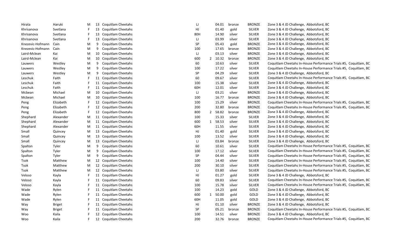| Hirata           | Haruki        | M | 13 | Coquitlam Cheetahs    | IJ  |              | 04.01   | bronze | <b>BRONZE</b> | Zone 3 & 4 JD Challenge, Abbotsford, BC                          |
|------------------|---------------|---|----|-----------------------|-----|--------------|---------|--------|---------------|------------------------------------------------------------------|
| Khrisanova       | Svetlana      |   | 13 | Coquitlam Cheetahs    | HJ  |              | 01.40   | gold   | <b>SILVER</b> | Zone 3 & 4 JD Challenge, Abbotsford, BC                          |
| Khrisanova       | Svetlana      | F |    | 13 Coquitlam Cheetahs | 80H |              | 14.90   | silver | <b>SILVER</b> | Zone 3 & 4 JD Challenge, Abbotsford, BC                          |
| Khrisanova       | Svetlana      |   |    | 13 Coquitlam Cheetahs | IJ  |              | 03.99   | silver | <b>SILVER</b> | Zone 3 & 4 JD Challenge, Abbotsford, BC                          |
| Knezevic-Hofmann | Cain          | M | 9  | Coquitlam Cheetahs    | SP  |              | 05.43   | gold   | <b>BRONZE</b> | Zone 3 & 4 JD Challenge, Abbotsford, BC                          |
| Knezevic-Hofmann | Cain          | M | 9  | Coquitlam Cheetahs    | 100 |              | 17.65   | bronze | <b>BRONZE</b> | Zone 3 & 4 JD Challenge, Abbotsford, BC                          |
| Laird-Mclean     | Kai           | M | 10 | Coquitlam Cheetahs    | IJ  |              | 03.13   | silver | <b>BRONZE</b> | Zone 3 & 4 JD Challenge, Abbotsford, BC                          |
| Laird-Mclean     | Kai           | M | 10 | Coquitlam Cheetahs    | 600 | $\mathbf{2}$ | 10.32   | bronze | <b>BRONZE</b> | Zone 3 & 4 JD Challenge, Abbotsford, BC                          |
| Lauwers          | Westley       | M | 9  | Coquitlam Cheetahs    | 60  |              | 10.63   | silver | <b>SILVER</b> | Coquitlam Cheetahs In-House Performance Trials #5, Coquitlam, BC |
| Lauwers          | Westley       | M | 9  | Coquitlam Cheetahs    | 100 |              | 17.22   | silver | <b>SILVER</b> | Coquitlam Cheetahs In-House Performance Trials #5, Coquitlam, BC |
| Lauwers          | Westley       | M | 9  | Coquitlam Cheetahs    | SP  |              | 04.29   | silver | <b>SILVER</b> | Zone 3 & 4 JD Challenge, Abbotsford, BC                          |
| Leschuk          | Faith         | F |    | 11 Coquitlam Cheetahs | 60  |              | 09.67   | silver | <b>SILVER</b> | Coquitlam Cheetahs In-House Performance Trials #5, Coquitlam, BC |
| Leschuk          | Faith         |   |    | 11 Coquitlam Cheetahs | 100 |              | 15.38   | silver | <b>SILVER</b> | Zone 3 & 4 JD Challenge, Abbotsford, BC                          |
| Leschuk          | Faith         | F |    | 11 Coquitlam Cheetahs | 60H |              | 12.01   | silver | <b>SILVER</b> | Zone 3 & 4 JD Challenge, Abbotsford, BC                          |
| Mcbean           | Michael       | M |    | 10 Coquitlam Cheetahs | IJ  |              | 03.21   | silver | <b>BRONZE</b> | Zone 3 & 4 JD Challenge, Abbotsford, BC                          |
| Mcbean           | Michael       | M |    | 10 Coquitlam Cheetahs | 100 |              | 16.77   | bronze | <b>BRONZE</b> | Zone 3 & 4 JD Challenge, Abbotsford, BC                          |
| Peng             | Elizabeth     | F |    | 12 Coquitlam Cheetahs | 100 |              | 15.29   | silver | <b>BRONZE</b> | Coquitlam Cheetahs In-House Performance Trials #5, Coquitlam, BC |
| Peng             | Elizabeth     | F |    | 12 Coquitlam Cheetahs | 200 |              | 32.80   | bronze | <b>BRONZE</b> | Coquitlam Cheetahs In-House Performance Trials #5, Coquitlam, BC |
| Peng             | Elizabeth     |   |    | 12 Coquitlam Cheetahs | 800 | 2            | 58.82   | bronze | <b>BRONZE</b> | Zone 3 & 4 JD Challenge, Abbotsford, BC                          |
| Shephard         | Alexander     | M |    | 11 Coquitlam Cheetahs | 100 |              | 15.33   | silver | <b>SILVER</b> | Zone 3 & 4 JD Challenge, Abbotsford, BC                          |
| Shephard         | Alexander     | M |    | 11 Coquitlam Cheetahs | 600 |              | 1 58.53 | silver | <b>SILVER</b> | Zone 3 & 4 JD Challenge, Abbotsford, BC                          |
| Shephard         | Alexander     | M |    | 11 Coquitlam Cheetahs | 60H |              | 11.55   | silver | <b>SILVER</b> | Zone 3 & 4 JD Challenge, Abbotsford, BC                          |
| Small            | Quincey       | M | 13 | Coquitlam Cheetahs    | HJ  |              | 01.40   | gold   | <b>SILVER</b> | Zone 3 & 4 JD Challenge, Abbotsford, BC                          |
| Small            | Quincey       | M |    | 13 Coquitlam Cheetahs | 100 |              | 13.52   | silver | <b>SILVER</b> | Zone 3 & 4 JD Challenge, Abbotsford, BC                          |
| Small            | Quincey       | M | 13 | Coquitlam Cheetahs    | IJ  |              | 03.84   | bronze | <b>SILVER</b> | Zone 3 & 4 JD Challenge, Abbotsford, BC                          |
| Spalton          | Tyler         | M | 9  | Coquitlam Cheetahs    | 60  |              | 10.61   | silver | <b>SILVER</b> | Coquitlam Cheetahs In-House Performance Trials #5, Coquitlam, BC |
| Spalton          | Tyler         | M | 9  | Coquitlam Cheetahs    | 100 |              | 17.12   | silver | <b>SILVER</b> | Coquitlam Cheetahs In-House Performance Trials #5, Coquitlam, BC |
| Spalton          | Tyler         | M | 9  | Coquitlam Cheetahs    | SP  |              | 04.44   | silver | <b>SILVER</b> | Coquitlam Cheetahs In-House Performance Trials #5, Coquitlam, BC |
| Tsok             | Matthew       | M |    | 12 Coquitlam Cheetahs | 100 |              | 14.40   | silver | <b>SILVER</b> | Coquitlam Cheetahs In-House Performance Trials #5, Coquitlam, BC |
| Tsok             | Matthew       | M |    | 12 Coquitlam Cheetahs | 200 |              | 30.10   | silver | <b>SILVER</b> | Coquitlam Cheetahs In-House Performance Trials #5, Coquitlam, BC |
| Tsok             | Matthew       | M | 12 | Coquitlam Cheetahs    | IJ  |              | 03.80   | silver | <b>SILVER</b> | Coquitlam Cheetahs In-House Performance Trials #5, Coquitlam, BC |
| Veloso           | Kayla         | F |    | 11 Coquitlam Cheetahs | HJ  |              | 01.27   | gold   | <b>SILVER</b> | Zone 3 & 4 JD Challenge, Abbotsford, BC                          |
| Veloso           | Kayla         |   |    | 11 Coquitlam Cheetahs | 60  |              | 09.83   | silver | <b>SILVER</b> | Coquitlam Cheetahs In-House Performance Trials #5, Coquitlam, BC |
| Veloso           | Kayla         |   |    | 11 Coquitlam Cheetahs | 100 |              | 15.78   | silver | <b>SILVER</b> | Coquitlam Cheetahs In-House Performance Trials #5, Coquitlam, BC |
| Wade             | Rylen         |   |    | 11 Coquitlam Cheetahs | 100 |              | 14.23   | gold   | GOLD          | Zone 3 & 4 JD Challenge, Abbotsford, BC                          |
| Wade             | Rylen         |   |    | 11 Coquitlam Cheetahs | 600 | $\mathbf{1}$ | 50.00   | gold   | GOLD          | Zone 3 & 4 JD Challenge, Abbotsford, BC                          |
| Wade             | Rylen         |   |    | 11 Coquitlam Cheetahs | 60H |              | 11.05   | gold   | GOLD          | Zone 3 & 4 JD Challenge, Abbotsford, BC                          |
| Way              | <b>Briget</b> |   |    | 11 Coquitlam Cheetahs | HJ  |              | 01.10   | silver | <b>BRONZE</b> | Zone 3 & 4 JD Challenge, Abbotsford, BC                          |
| Way              | <b>Briget</b> |   |    | 11 Coquitlam Cheetahs | SP  |              | 05.21   | bronze | <b>BRONZE</b> | Coquitlam Cheetahs In-House Performance Trials #5, Coquitlam, BC |
| Woo              | Kaila         |   |    | 12 Coquitlam Cheetahs | 100 |              | 14.51   | silver | <b>BRONZE</b> | Zone 3 & 4 JD Challenge, Abbotsford, BC                          |
| Woo              | Kaila         | F |    | 12 Coquitlam Cheetahs | 200 |              | 32.76   | bronze | <b>BRONZE</b> | Coquitlam Cheetahs In-House Performance Trials #5, Coquitlam, BC |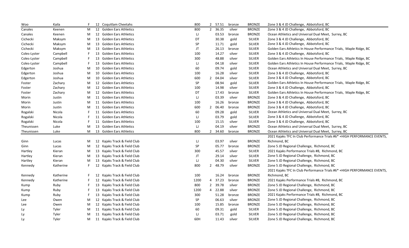| Woo          | Kaila     |   |    | 12 Coquitlam Cheetahs        | 800        |                | 2 57.51 | bronze | <b>BRONZE</b> | Zone 3 & 4 JD Challenge, Abbotsford, BC                                  |
|--------------|-----------|---|----|------------------------------|------------|----------------|---------|--------|---------------|--------------------------------------------------------------------------|
| Canales      | Keenen    | M |    | 12 Golden Ears Athletics     | 800        | $\overline{2}$ | 36.35   | silver | <b>BRONZE</b> | Zone 3 & 4 JD Challenge, Abbotsford, BC                                  |
| Canales      | Keenen    | M |    | 12 Golden Ears Athletics     | IJ         |                | 03.53   | bronze | <b>BRONZE</b> | Ocean Athletics and Universal Dual Meet, Surrey, BC                      |
| Cichecki     | Maksym    | M |    | 13 Golden Ears Athletics     | DT         |                | 30.38   | gold   | <b>SILVER</b> | Zone 3 & 4 JD Challenge, Abbotsford, BC                                  |
| Cichecki     | Maksym    | M |    | 13 Golden Ears Athletics     | ${\sf SP}$ |                | 11.71   | gold   | <b>SILVER</b> | Zone 3 & 4 JD Challenge, Abbotsford, BC                                  |
| Cichecki     | Maksym    | M | 13 | <b>Golden Ears Athletics</b> | JT         |                | 26.13   | bronze | <b>SILVER</b> | Golden Ears Athletics In House Performance Trials, Maple Ridge, BC       |
| Coles-Lyster | Campbell  |   |    | 13 Golden Ears Athletics     | 100        |                | 14.27   | silver | <b>SILVER</b> | Zone 3 & 4 JD Challenge, Abbotsford, BC                                  |
| Coles-Lyster | Campbell  |   |    | 13 Golden Ears Athletics     | 300        |                | 48.88   | silver | <b>SILVER</b> | Golden Ears Athletics In House Performance Trials, Maple Ridge, BC       |
| Coles-Lyster | Campbell  |   |    | 13 Golden Ears Athletics     | IJ         |                | 04.18   | silver | <b>SILVER</b> | Golden Ears Athletics In House Performance Trials, Maple Ridge, BC       |
| Edgerton     | Joshua    | M | 10 | <b>Golden Ears Athletics</b> | 60         |                | 09.74   | gold   | <b>SILVER</b> | Ocean Athletics and Universal Dual Meet, Surrey, BC                      |
| Edgerton     | Joshua    | M | 10 | <b>Golden Ears Athletics</b> | 100        |                | 16.28   | silver | <b>SILVER</b> | Zone 3 & 4 JD Challenge, Abbotsford, BC                                  |
| Edgerton     | Joshua    | M | 10 | <b>Golden Ears Athletics</b> | 600        | $\overline{2}$ | 04.04   | silver | <b>SILVER</b> | Zone 3 & 4 JD Challenge, Abbotsford, BC                                  |
| Foster       | Zachary   | M |    | 12 Golden Ears Athletics     | SP         |                | 08.94   | gold   | <b>SILVER</b> | Golden Ears Athletics In House Performance Trials, Maple Ridge, BC       |
| Foster       | Zachary   | M |    | 12 Golden Ears Athletics     | 100        |                | 14.98   | silver | <b>SILVER</b> | Zone 3 & 4 JD Challenge, Abbotsford, BC                                  |
| Foster       | Zachary   | M |    | 12 Golden Ears Athletics     | DT         |                | 17.43   | bronze | <b>SILVER</b> | Golden Ears Athletics In House Performance Trials, Maple Ridge, BC       |
| Morin        | Justin    | M |    | 11 Golden Ears Athletics     | IJ         |                | 03.39   | silver | <b>BRONZE</b> | Zone 3 & 4 JD Challenge, Abbotsford, BC                                  |
| Morin        | Justin    | M |    | 11 Golden Ears Athletics     | 100        |                | 16.26   | bronze | <b>BRONZE</b> | Zone 3 & 4 JD Challenge, Abbotsford, BC                                  |
| Morin        | Justin    | M |    | 11 Golden Ears Athletics     | 600        | $\overline{2}$ | 06.40   | bronze | <b>BRONZE</b> | Zone 3 & 4 JD Challenge, Abbotsford, BC                                  |
| Rogalski     | Nicola    |   |    | 11 Golden Ears Athletics     | 60         |                | 09.28   | gold   | <b>SILVER</b> | Ocean Athletics and Universal Dual Meet, Surrey, BC                      |
| Rogalski     | Nicola    |   |    | 11 Golden Ears Athletics     | IJ         |                | 03.79   | gold   | <b>SILVER</b> | Zone 3 & 4 JD Challenge, Abbotsford, BC                                  |
| Rogalski     | Nicola    |   |    | 11 Golden Ears Athletics     | 100        |                | 15.15   | silver | <b>SILVER</b> | Zone 3 & 4 JD Challenge, Abbotsford, BC                                  |
| Theunissen   | Luke      | M |    | 13 Golden Ears Athletics     | IJ         |                | 04.19   | silver | <b>BRONZE</b> | Ocean Athletics and Universal Dual Meet, Surrey, BC                      |
| Theunissen   | Luke      | M |    | 13 Golden Ears Athletics     | 800        | 2              | 34.60   | bronze | <b>BRONZE</b> | Ocean Athletics and Universal Dual Meet, Surrey, BC                      |
|              |           |   |    |                              |            |                |         |        |               | 2021 Kajaks TFC In Club Performance Trials #6* +HIGH PERFORMANCE EVENTS, |
| Ginn         | Lucas     | M |    | 12 Kajaks Track & Field Club | IJ         |                | 03.97   | silver | <b>BRONZE</b> | Richmond, BC                                                             |
| Ginn         | Lucas     | M |    | 12 Kajaks Track & Field Club | SP         |                | 05.77   | bronze | <b>BRONZE</b> | Zone 5 JD Regional Challenge, Richmond, BC                               |
| Hartley      | Kieran    | M |    | 13 Kajaks Track & Field Club | 300        |                | 45.57   | silver | <b>SILVER</b> | 2021 Kajaks Performance Trials #8, Richmond, BC                          |
| Hartley      | Kieran    | M |    | 13 Kajaks Track & Field Club | JT         |                | 29.14   | silver | <b>SILVER</b> | Zone 5 JD Regional Challenge, Richmond, BC                               |
| Hartley      | Kieran    | M |    | 13 Kajaks Track & Field Club | IJ         |                | 04.30   | silver | <b>SILVER</b> | Zone 5 JD Regional Challenge, Richmond, BC                               |
| Kennedy      | Katherine |   |    | 12 Kajaks Track & Field Club | 800        | $\overline{2}$ | 48.79   | silver | <b>BRONZE</b> | Zone 5 JD Regional Challenge, Richmond, BC                               |
|              |           |   |    |                              |            |                |         |        |               | 2021 Kajaks TFC In Club Performance Trials #6* +HIGH PERFORMANCE EVENTS, |
| Kennedy      | Katherine |   |    | 12 Kajaks Track & Field Club | 100        |                | 16.24   | bronze | <b>BRONZE</b> | Richmond, BC                                                             |
| Kennedy      | Katherine |   |    | 12 Kajaks Track & Field Club | 1200       |                | 4 37.23 | bronze | <b>BRONZE</b> | 2021 Kajaks Performance Trials #8, Richmond, BC                          |
| Kump         | Ruby      |   |    | 13 Kajaks Track & Field Club | 800        |                | 2 39.78 | silver | <b>BRONZE</b> | Zone 5 JD Regional Challenge, Richmond, BC                               |
| Kump         | Ruby      |   |    | 13 Kajaks Track & Field Club | 1200       |                | 4 22.88 | silver | <b>BRONZE</b> | Zone 5 JD Regional Challenge, Richmond, BC                               |
| Kump         | Ruby      |   |    | 13 Kajaks Track & Field Club | 300        |                | 51.28   | bronze | <b>BRONZE</b> | 2021 Kajaks Performance Trials #8, Richmond, BC                          |
| Lee          | Owen      | M |    | 12 Kajaks Track & Field Club | SP         |                | 06.63   | silver | <b>BRONZE</b> | Zone 5 JD Regional Challenge, Richmond, BC                               |
| Lee          | Owen      | M |    | 12 Kajaks Track & Field Club | 100        |                | 15.85   | bronze | <b>BRONZE</b> | Zone 5 JD Regional Challenge, Richmond, BC                               |
| Ly           | Tyler     | M |    | 11 Kajaks Track & Field Club | 60         |                | 09.31   | gold   | <b>SILVER</b> | Zone 5 JD Regional Challenge, Richmond, BC                               |
| Ly           | Tyler     | M |    | 11 Kajaks Track & Field Club | IJ         |                | 03.71   | gold   | <b>SILVER</b> | Zone 5 JD Regional Challenge, Richmond, BC                               |
| Ly           | Tyler     | M |    | 11 Kajaks Track & Field Club | 60H        |                | 11.43   | silver | <b>SILVER</b> | Zone 5 JD Regional Challenge, Richmond, BC                               |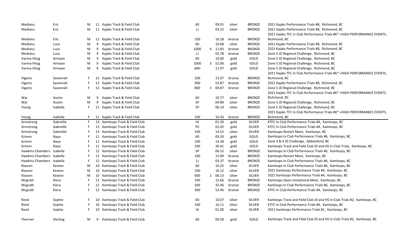| Medianu                   | Eric      | M  |    | 11 Kajaks Track & Field Club   | 60   |   | 09.91   | silver | <b>BRONZE</b> | 2021 Kajaks Performance Trials #8, Richmond, BC                          |
|---------------------------|-----------|----|----|--------------------------------|------|---|---------|--------|---------------|--------------------------------------------------------------------------|
| Medianu                   | Eric      | M  |    | 11 Kajaks Track & Field Club   | IJ   |   | 03.52   | silver | <b>BRONZE</b> | 2021 Kajaks Performance Trials #8, Richmond, BC                          |
|                           |           |    |    |                                |      |   |         |        |               | 2021 Kajaks TFC In Club Performance Trials #6* +HIGH PERFORMANCE EVENTS, |
| Medianu                   | Eric      | M  |    | 11 Kajaks Track & Field Club   | 100  |   | 16.28   | bronze | <b>BRONZE</b> | Richmond, BC                                                             |
| Medianu                   | Luca      | M  | 9  | Kajaks Track & Field Club      | 60   |   | 10.68   | silver | <b>BRONZE</b> | 2021 Kajaks Performance Trials #8, Richmond, BC                          |
| Medianu                   | Luca      | M  | 9  | Kajaks Track & Field Club      | 1000 | 4 | 11.83   | bronze | <b>BRONZE</b> | 2021 Kajaks Performance Trials #8, Richmond, BC                          |
| Medianu                   | Luca      | M  | 9  | Kajaks Track & Field Club      | IJ   |   | 02.78   | bronze | <b>BRONZE</b> | Zone 5 JD Regional Challenge, Richmond, BC                               |
| Varma-Vitug               | Armaan    | M  | 9  | Kajaks Track & Field Club      | 60   |   | 10.00   | gold   | GOLD          | Zone 5 JD Regional Challenge, Richmond, BC                               |
| Varma-Vitug               | Armaan    | M  | 9  | Kajaks Track & Field Club      | 1000 |   | 3 52.06 | gold   | GOLD          | Zone 5 JD Regional Challenge, Richmond, BC                               |
| Varma-Vitug               | Armaan    | M  | 9  | Kajaks Track & Field Club      | 60H  |   | 11.97   | gold   | GOLD          | Zone 5 JD Regional Challenge, Richmond, BC                               |
|                           |           |    |    |                                |      |   |         |        |               | 2021 Kajaks TFC In Club Performance Trials #6* +HIGH PERFORMANCE EVENTS, |
| Vigario                   | Savannah  | F. |    | 12 Kajaks Track & Field Club   | 100  |   | 15.97   | bronze | <b>BRONZE</b> | Richmond, BC                                                             |
| Vigario                   | Savannah  |    |    | 12 Kajaks Track & Field Club   | 300  |   | 53.87   | bronze | <b>BRONZE</b> | 2021 Kajaks Performance Trials #8, Richmond, BC                          |
| Vigario                   | Savannah  | F  |    | 12 Kajaks Track & Field Club   | 800  |   | 3 00.87 | bronze | <b>BRONZE</b> | Zone 5 JD Regional Challenge, Richmond, BC                               |
|                           |           |    |    |                                |      |   |         |        |               | 2021 Kajaks TFC In Club Performance Trials #6* +HIGH PERFORMANCE EVENTS  |
| Wai                       | Austin    | M  | 9  | Kajaks Track & Field Club      | 60   |   | 10.77   | silver | <b>BRONZE</b> | Richmond, BC                                                             |
| Wai                       | Austin    | M  | 9  | Kajaks Track & Field Club      | SP   |   | 04.80   | silver | <b>BRONZE</b> | Zone 5 JD Regional Challenge, Richmond, BC                               |
| Young                     | Isabella  | F. |    | 11 Kajaks Track & Field Club   | SP   |   | 06.14   | silver | <b>BRONZE</b> | Zone 5 JD Regional Challenge, Richmond, BC                               |
|                           |           |    |    |                                |      |   |         |        |               | 2021 Kajaks TFC In Club Performance Trials #6* +HIGH PERFORMANCE EVENTS, |
| Young                     | Isabella  | F. |    | 11 Kajaks Track & Field Club   | 100  |   | 16.43   | bronze | <b>BRONZE</b> | Richmond, BC                                                             |
| Armstrong                 | Gabrielle | F. |    | 13 Kamloops Track & Field Club | HJ   |   | 01.30   | gold   | <b>SILVER</b> | KTFC In Club Performance Trials #4, Kamloops, BC                         |
| Armstrong                 | Gabrielle | F. |    | 13 Kamloops Track & Field Club | PV   |   | 02.42   | gold   | <b>SILVER</b> | KTFC In Club Performance Trials #4, Kamloops, BC                         |
| Armstrong                 | Gabrielle | F. |    | 13 Kamloops Track & Field Club | 100  |   | 14.52   | silver | <b>SILVER</b> | Kamloops Restart Meet, Kamloops, BC                                      |
| Grimm                     | Naya      | F. |    | 11 Kamloops Track & Field Club | 60   |   | 09.20   | gold   | GOLD          | Kamloops In Club Performance Trials #6, Kamloops, BC                     |
| Grimm                     | Naya      | F. |    | 11 Kamloops Track & Field Club | 100  |   | 14.38   | gold   | GOLD          | Zone 3 & 4 JD Challenge, Abbotsford, BC                                  |
| Grimm                     | Naya      | F. |    | 11 Kamloops Track & Field Club | 200  |   | 30.41   | gold   | GOLD          | Kamloops Track and Field Club JD and HS In Club Trials, Kamloops, BC     |
| Hawkins-Chambers          | Izabella  | F. |    | 12 Kamloops Track & Field Club | SP   |   | 06.52   | silver | <b>BRONZE</b> | Kamloops In Club Performance Trials #6, Kamloops, BC                     |
| Hawkins-Chambers          | Izabella  | F. |    | 12 Kamloops Track & Field Club | 100  |   | 15.89   | bronze | <b>BRONZE</b> | Kamloops Restart Meet, Kamloops, BC                                      |
| Hawkins-Chambers Izabella |           | F  |    | 12 Kamloops Track & Field Club | IJ   |   | 03.37   | bronze | <b>BRONZE</b> | Kamloops In Club Performance Trials #6, Kamloops, BC                     |
| Klassen                   | Keaton    | M  |    | 10 Kamloops Track & Field Club | 60   |   | 10.25   | silver | <b>SILVER</b> | Kamloops In Club Performance Trials #6, Kamloops, BC                     |
| Klassen                   | Keaton    | M  |    | 10 Kamloops Track & Field Club | 100  |   | 16.12   | silver | <b>SILVER</b> | 2021 Kamloops Performance Trials #4, Kamloops, BC                        |
| Klassen                   | Keaton    | M  |    | 10 Kamloops Track & Field Club | 600  |   | 2 06.13 | silver | <b>SILVER</b> | 2021 Kamloops Performance Trials #4, Kamloops, BC                        |
| Mcgrath                   | Kiera     | F  |    | 12 Kamloops Track & Field Club | 100  |   | 15.66   | bronze | <b>BRONZE</b> | Kamloops Open Invitational Meet, Kamloops, BC                            |
| Mcgrath                   | Kiera     | F. |    | 12 Kamloops Track & Field Club | 200  |   | 32.46   | bronze | <b>BRONZE</b> | Kamloops In Club Performance Trials #6, Kamloops, BC                     |
| Mcgrath                   | Kiera     | F. |    | 12 Kamloops Track & Field Club | 300  |   | 52.46   | bronze | <b>BRONZE</b> | KTFC In Club Performance Trials #4, Kamloops, BC                         |
| Reed                      | Sophie    | F. |    | 10 Kamloops Track & Field Club | 60   |   | 10.07   | silver | <b>SILVER</b> | Kamloops Track and Field Club JD and HS In Club Trials #2, Kamloops, BC  |
| Reed                      | Sophie    | F. | 10 | Kamloops Track & Field Club    | 100  |   | 16.11   | silver | <b>SILVER</b> | KTFC In Club Performance Trials #4, Kamloops, BC                         |
| Reed                      | Sophie    | F  | 10 | Kamloops Track & Field Club    | HJ   |   | 01.00   | silver | <b>SILVER</b> | 2021 Kamloops Performance Trials #1, Kamloops, BC                        |
| Therrien                  | Sterling  | M  | 9  | Kamloops Track & Field Club    | 60   |   | 09.50   | gold   | GOLD          | Kamloops Track and Field Club JD and HS In Club Trials #2, Kamloops, BC  |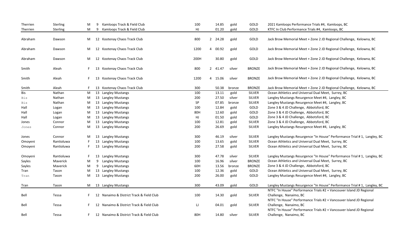| Therrien | Sterling        | M  | 9  | Kamloops Track & Field Club              | 100  |                | 14.85   | gold   | GOLD          | 2021 Kamloops Performance Trials #4, Kamloops, BC                         |
|----------|-----------------|----|----|------------------------------------------|------|----------------|---------|--------|---------------|---------------------------------------------------------------------------|
| Therrien | <b>Sterling</b> | M  | 9  | Kamloops Track & Field Club              | HJ   |                | 01.20   | gold   | GOLD          | KTFC In Club Performance Trials #4, Kamloops, BC                          |
|          |                 |    |    |                                          |      |                |         |        |               |                                                                           |
| Abraham  | Dawson          | M  |    | 12 Kootenay Chaos Track Club             | 800  |                | 2 24.28 | gold   | GOLD          | Jack Brow Memorial Meet + Zone 2 JD Regional Challenge, Kelowna, BC       |
|          |                 |    |    |                                          |      |                |         |        |               |                                                                           |
| Abraham  | Dawson          | M  |    | 12 Kootenay Chaos Track Club             | 1200 | 4              | 00.92   | gold   | GOLD          | Jack Brow Memorial Meet + Zone 2 JD Regional Challenge, Kelowna, BC       |
|          |                 |    |    |                                          |      |                |         |        |               |                                                                           |
| Abraham  | Dawson          | M  |    | 12 Kootenay Chaos Track Club             | 200H |                | 30.80   | gold   | GOLD          | Jack Brow Memorial Meet + Zone 2 JD Regional Challenge, Kelowna, BC       |
|          |                 |    |    |                                          |      |                |         |        |               |                                                                           |
| Smith    | Aleah           |    |    | 13 Kootenay Chaos Track Club             | 800  | $\overline{2}$ | 41.47   | silver | <b>BRONZE</b> | Jack Brow Memorial Meet + Zone 2 JD Regional Challenge, Kelowna, BC       |
|          |                 |    |    |                                          |      |                |         |        |               |                                                                           |
| Smith    | Aleah           | F. | 13 | Kootenay Chaos Track Club                | 1200 |                | 4 15.06 | silver | <b>BRONZE</b> | Jack Brow Memorial Meet + Zone 2 JD Regional Challenge, Kelowna, BC       |
|          |                 |    |    |                                          |      |                |         |        |               |                                                                           |
| Smith    | Aleah           |    |    | 13 Kootenay Chaos Track Club             | 300  |                | 50.38   | bronze | <b>BRONZE</b> | Jack Brow Memorial Meet + Zone 2 JD Regional Challenge, Kelowna, BC       |
| Bis      | Nathan          |    |    | M 13 Langley Mustangs                    | 100  |                | 13.11   | gold   | <b>SILVER</b> | Ocean Athletics and Universal Dual Meet, Surrey, BC                       |
| Bis      | Nathan          | M  |    | 13 Langley Mustangs                      | 200  |                | 27.50   | silver | <b>SILVER</b> | Langley Mustangs Resurgence Meet #4, Langley, BC                          |
| Bis      | Nathan          | M  |    | 13 Langley Mustangs                      | SP   |                | 07.85   | bronze | <b>SILVER</b> | Langley Mustangs Resurgence Meet #4, Langley, BC                          |
| Hall     | Logan           | M  |    | 13 Langley Mustangs                      | 100  |                | 12.84   | gold   | GOLD          | Zone 3 & 4 JD Challenge, Abbotsford, BC                                   |
| Hall     | Logan           | M  |    | 13 Langley Mustangs                      | 80H  |                | 12.60   | gold   | GOLD          | Zone 3 & 4 JD Challenge, Abbotsford, BC                                   |
| Hall     | Logan           | M  |    | 13 Langley Mustangs                      | HJ   |                | 01.50   | gold   | GOLD          | Zone 3 & 4 JD Challenge, Abbotsford, BC                                   |
| Jones    | Connor          | M  |    | 13 Langley Mustangs                      | 100  |                | 12.81   | gold   | <b>SILVER</b> | Zone 3 & 4 JD Challenge, Abbotsford, BC                                   |
| Jones    | Connor          | M  |    | 13 Langley Mustangs                      | 200  |                | 26.69   | gold   | <b>SILVER</b> | Langley Mustangs Resurgence Meet #4, Langley, BC                          |
|          |                 |    |    |                                          |      |                |         |        |               |                                                                           |
| Jones    | Connor          | M  |    | 13 Langley Mustangs                      | 300  |                | 46.19   | silver | <b>SILVER</b> | Langley Mustangs Resurgence "In House" Performance Trial # 1, Langley, BC |
| Omoyeni  | Rantioluwa      |    |    | 13 Langley Mustangs                      | 100  |                | 13.65   | gold   | <b>SILVER</b> | Ocean Athletics and Universal Dual Meet, Surrey, BC                       |
| Omoyeni  | Rantioluwa      |    |    | 13 Langley Mustangs                      | 200  |                | 27.58   | gold   | <b>SILVER</b> | Ocean Athletics and Universal Dual Meet, Surrey, BC                       |
|          |                 |    |    |                                          |      |                |         |        |               |                                                                           |
| Omoyeni  | Rantioluwa      |    |    | 13 Langley Mustangs                      | 300  |                | 47.78   | silver | <b>SILVER</b> | Langley Mustangs Resurgence "In House" Performance Trial # 1, Langley, BC |
| Sayles   | Maverick        | M  |    | 9 Langley Mustangs                       | 100  |                | 16.96   | silver | <b>BRONZE</b> | Ocean Athletics and Universal Dual Meet, Surrey, BC                       |
| Sayles   | Maverick        | M  |    | 9 Langley Mustangs                       | 60H  |                | 13.56   | bronze | <b>BRONZE</b> | Zone 3 & 4 JD Challenge, Abbotsford, BC                                   |
| Tran     | Tason           | M  |    | 13 Langley Mustangs                      | 100  |                | 12.36   | gold   | GOLD          | Ocean Athletics and Universal Dual Meet, Surrey, BC                       |
| Tran     | Tason           | M  |    | 13 Langley Mustangs                      | 200  |                | 26.00   | gold   | GOLD          | Langley Mustangs Resurgence Meet #4, Langley, BC                          |
|          |                 |    |    |                                          |      |                |         |        |               |                                                                           |
| Tran     | Tason           | M  |    | 13 Langley Mustangs                      | 300  |                | 43.09   | gold   | GOLD          | Langley Mustangs Resurgence "In House" Performance Trial #1, Langley, BC  |
|          |                 |    |    |                                          |      |                |         |        |               | NTFC "In House" Performance Trials #2 + Vancouver Island JD Regional      |
| Bell     | Tessa           | F. |    | 12 Nanaimo & District Track & Field Club | 100  |                | 14.30   | gold   | <b>SILVER</b> | Challenge, Nanaimo, BC                                                    |
|          |                 |    |    |                                          |      |                |         |        |               | NTFC "In House" Performance Trials #2 + Vancouver Island JD Regional      |
| Bell     | Tessa           |    |    | 12 Nanaimo & District Track & Field Club | IJ   |                | 04.01   | gold   | <b>SILVER</b> | Challenge, Nanaimo, BC                                                    |
|          |                 |    |    |                                          |      |                |         |        |               | NTFC "In House" Performance Trials #2 + Vancouver Island JD Regional      |
| Bell     | Tessa           |    |    | 12 Nanaimo & District Track & Field Club | 80H  |                | 14.80   | silver | <b>SILVER</b> | Challenge, Nanaimo, BC                                                    |
|          |                 |    |    |                                          |      |                |         |        |               |                                                                           |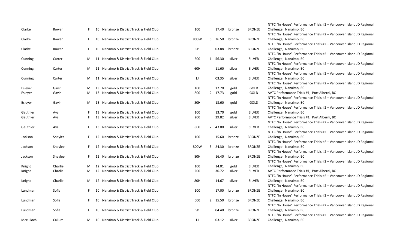| Clarke    | Rowan   | F. |    | 10 Nanaimo & District Track & Field Club | 100  |              | 17.40   | bronze | <b>BRONZE</b> | NTFC "In House" Performance Trials #2 + Vancouver Island JD Regional<br>Challenge, Nanaimo, BC |
|-----------|---------|----|----|------------------------------------------|------|--------------|---------|--------|---------------|------------------------------------------------------------------------------------------------|
|           |         |    |    |                                          |      |              |         |        |               | NTFC "In House" Performance Trials #2 + Vancouver Island JD Regional                           |
| Clarke    | Rowan   | F. | 10 | Nanaimo & District Track & Field Club    | 800W | 5            | 36.50   | bronze | <b>BRONZE</b> | Challenge, Nanaimo, BC                                                                         |
|           |         |    |    |                                          |      |              |         |        |               | NTFC "In House" Performance Trials #2 + Vancouver Island JD Regional                           |
| Clarke    | Rowan   | F. | 10 | Nanaimo & District Track & Field Club    | SP   |              | 03.88   | bronze | <b>BRONZE</b> | Challenge, Nanaimo, BC                                                                         |
|           |         |    |    |                                          |      |              |         |        |               | NTFC "In House" Performance Trials #2 + Vancouver Island JD Regional                           |
| Cunning   | Carter  | М  |    | 11 Nanaimo & District Track & Field Club | 600  | $\mathbf{1}$ | 56.30   | silver | <b>SILVER</b> | Challenge, Nanaimo, BC                                                                         |
|           |         |    |    |                                          |      |              |         |        |               | NTFC "In House" Performance Trials #2 + Vancouver Island JD Regional                           |
| Cunning   | Carter  | М  |    | 11 Nanaimo & District Track & Field Club | 60H  |              | 11.60   | silver | SILVER        | Challenge, Nanaimo, BC                                                                         |
|           |         |    |    |                                          |      |              |         |        |               | NTFC "In House" Performance Trials #2 + Vancouver Island JD Regional                           |
| Cunning   | Carter  | M  |    | 11 Nanaimo & District Track & Field Club | IJ   |              | 03.35   | silver | <b>SILVER</b> | Challenge, Nanaimo, BC                                                                         |
|           |         |    |    |                                          |      |              |         |        |               | NTFC "In House" Performance Trials #2 + Vancouver Island JD Regional                           |
| Esleyer   | Gavin   | М  |    | 13 Nanaimo & District Track & Field Club | 100  |              | 12.70   | gold   | GOLD          | Challenge, Nanaimo, BC                                                                         |
| Esleyer   | Gavin   | М  |    | 13 Nanaimo & District Track & Field Club | 800  |              | 2 17.73 | gold   | GOLD          | AVTC Performance Trials #1, Port Alberni, BC                                                   |
|           |         |    |    |                                          |      |              |         |        |               | NTFC "In House" Performance Trials #2 + Vancouver Island JD Regional                           |
| Esleyer   | Gavin   | М  |    | 13 Nanaimo & District Track & Field Club | 80H  |              | 13.60   | gold   | GOLD          | Challenge, Nanaimo, BC                                                                         |
|           |         |    |    |                                          |      |              |         |        |               | NTFC "In House" Performance Trials #2 + Vancouver Island JD Regional                           |
| Gauthier  | Ava     | F  |    | 13 Nanaimo & District Track & Field Club | 100  |              | 13.70   | gold   | <b>SILVER</b> | Challenge, Nanaimo, BC                                                                         |
| Gauthier  | Ava     | F. |    | 13 Nanaimo & District Track & Field Club | 200  |              | 29.82   | silver | <b>SILVER</b> | AVTC Performance Trials #1, Port Alberni, BC                                                   |
|           |         |    |    |                                          |      |              |         |        |               | NTFC "In House" Performance Trials #2 + Vancouver Island JD Regional                           |
| Gauthier  | Ava     | F. |    | 13 Nanaimo & District Track & Field Club | 800  | $\mathbf{2}$ | 43.00   | silver | <b>SILVER</b> | Challenge, Nanaimo, BC                                                                         |
|           |         |    |    |                                          |      |              |         |        |               | NTFC "In House" Performance Trials #2 + Vancouver Island JD Regional                           |
| Jackson   | Shaylee | F. |    | 12 Nanaimo & District Track & Field Club | 100  |              | 15.60   | bronze | <b>BRONZE</b> | Challenge, Nanaimo, BC                                                                         |
|           |         |    |    |                                          |      |              |         |        |               | NTFC "In House" Performance Trials #2 + Vancouver Island JD Regional                           |
| Jackson   | Shaylee | F. |    | 12 Nanaimo & District Track & Field Club | 800W | 5            | 24.30   | bronze | <b>BRONZE</b> | Challenge, Nanaimo, BC                                                                         |
|           |         |    |    |                                          |      |              |         |        |               | NTFC "In House" Performance Trials #2 + Vancouver Island JD Regional                           |
| Jackson   | Shaylee | F. |    | 12 Nanaimo & District Track & Field Club | 80H  |              | 16.40   | bronze | <b>BRONZE</b> | Challenge, Nanaimo, BC                                                                         |
|           |         |    |    |                                          |      |              |         |        |               | NTFC "In House" Performance Trials #2 + Vancouver Island JD Regional                           |
| Knight    | Charlie | м  |    | 12 Nanaimo & District Track & Field Club | 100  |              | 14.01   | gold   | <b>SILVER</b> | Challenge, Nanaimo, BC                                                                         |
| Knight    | Charlie | М  |    | 12 Nanaimo & District Track & Field Club | 200  |              | 30.72   | silver | <b>SILVER</b> | AVTC Performance Trials #1, Port Alberni, BC                                                   |
|           |         |    |    |                                          |      |              |         |        |               | NTFC "In House" Performance Trials #2 + Vancouver Island JD Regional                           |
| Knight    | Charlie | м  |    | 12 Nanaimo & District Track & Field Club | 80H  |              | 14.67   | silver | <b>SILVER</b> | Challenge, Nanaimo, BC                                                                         |
|           |         |    |    |                                          |      |              |         |        |               | NTFC "In House" Performance Trials #2 + Vancouver Island JD Regional                           |
| Lundman   | Sofia   | F. | 10 | Nanaimo & District Track & Field Club    | 100  |              | 17.00   | bronze | <b>BRONZE</b> | Challenge, Nanaimo, BC                                                                         |
|           |         |    |    |                                          |      |              |         |        |               | NTFC "In House" Performance Trials #2 + Vancouver Island JD Regional                           |
| Lundman   | Sofia   | F. | 10 | Nanaimo & District Track & Field Club    | 600  |              | 2 15.50 | bronze | <b>BRONZE</b> | Challenge, Nanaimo, BC                                                                         |
|           |         |    |    |                                          |      |              |         |        |               | NTFC "In House" Performance Trials #2 + Vancouver Island JD Regional                           |
| Lundman   | Sofia   | F. | 10 | Nanaimo & District Track & Field Club    | SP   |              | 04.40   | bronze | <b>BRONZE</b> | Challenge, Nanaimo, BC                                                                         |
|           |         |    |    |                                          | IJ   |              |         |        |               | NTFC "In House" Performance Trials #2 + Vancouver Island JD Regional                           |
| Mcculloch | Callum  | м  |    | 10 Nanaimo & District Track & Field Club |      |              | 03.12   | silver | <b>BRONZE</b> | Challenge, Nanaimo, BC                                                                         |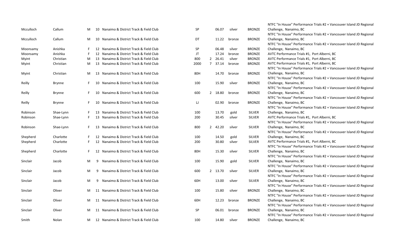|           |               |    |    |                                          |           |                |       |        |               | NTFC "In House" Performance Trials #2 + Vancouver Island JD Regional |
|-----------|---------------|----|----|------------------------------------------|-----------|----------------|-------|--------|---------------|----------------------------------------------------------------------|
| Mcculloch | Callum        | М  |    | 10 Nanaimo & District Track & Field Club | <b>SP</b> |                | 06.07 | silver | <b>BRONZE</b> | Challenge, Nanaimo, BC                                               |
|           |               |    |    |                                          |           |                |       |        |               | NTFC "In House" Performance Trials #2 + Vancouver Island JD Regional |
| Mcculloch | Callum        | M  | 10 | Nanaimo & District Track & Field Club    | DT        |                | 11.22 | bronze | <b>BRONZE</b> | Challenge, Nanaimo, BC                                               |
|           |               |    |    |                                          |           |                |       |        |               | NTFC "In House" Performance Trials #2 + Vancouver Island JD Regional |
| Moonsamy  | Anishka       | F. |    | 12 Nanaimo & District Track & Field Club | <b>SP</b> |                | 06.48 | silver | <b>BRONZE</b> | Challenge, Nanaimo, BC                                               |
| Moonsamy  | Anishka       |    |    | 12 Nanaimo & District Track & Field Club | JT        |                | 17.24 | bronze | <b>BRONZE</b> | AVTC Performance Trials #1, Port Alberni, BC                         |
| Myint     | Christian     | М  |    | 13 Nanaimo & District Track & Field Club | 800       | $\overline{2}$ | 26.41 | silver | <b>BRONZE</b> | AVTC Performance Trials #1, Port Alberni, BC                         |
| Myint     | Christian     | M  |    | 13 Nanaimo & District Track & Field Club | 2000      | $\overline{7}$ | 37.14 | bronze | <b>BRONZE</b> | AVTC Performance Trials #1, Port Alberni, BC                         |
|           |               |    |    |                                          |           |                |       |        |               | NTFC "In House" Performance Trials #2 + Vancouver Island JD Regional |
| Myint     | Christian     | M  |    | 13 Nanaimo & District Track & Field Club | 80H       |                | 14.70 | bronze | <b>BRONZE</b> | Challenge, Nanaimo, BC                                               |
|           |               |    |    |                                          |           |                |       |        |               | NTFC "In House" Performance Trials #2 + Vancouver Island JD Regional |
| Reilly    | Brynne        | F. | 10 | Nanaimo & District Track & Field Club    | 100       |                | 15.90 | silver | <b>BRONZE</b> | Challenge, Nanaimo, BC                                               |
|           |               |    |    |                                          |           |                |       |        |               | NTFC "In House" Performance Trials #2 + Vancouver Island JD Regional |
| Reilly    | <b>Brynne</b> | F. | 10 | Nanaimo & District Track & Field Club    | 600       | $\mathbf{2}$   | 18.80 | bronze | <b>BRONZE</b> | Challenge, Nanaimo, BC                                               |
|           |               |    |    |                                          |           |                |       |        |               | NTFC "In House" Performance Trials #2 + Vancouver Island JD Regional |
| Reilly    | <b>Brynne</b> | F. | 10 | Nanaimo & District Track & Field Club    | IJ        |                | 02.90 | bronze | <b>BRONZE</b> | Challenge, Nanaimo, BC                                               |
|           |               |    |    |                                          |           |                |       |        |               | NTFC "In House" Performance Trials #2 + Vancouver Island JD Regional |
| Robinson  | Shae-Lynn     | F  | 13 | Nanaimo & District Track & Field Club    | 100       |                | 13.70 | gold   | SILVER        | Challenge, Nanaimo, BC                                               |
| Robinson  | Shae-Lynn     | F. | 13 | Nanaimo & District Track & Field Club    | 200       |                | 30.45 | silver | <b>SILVER</b> | AVTC Performance Trials #1, Port Alberni, BC                         |
|           |               |    |    |                                          |           |                |       |        |               | NTFC "In House" Performance Trials #2 + Vancouver Island JD Regional |
| Robinson  | Shae-Lynn     | F. |    | 13 Nanaimo & District Track & Field Club | 800       | $2^{\circ}$    | 42.20 | silver | SILVER        | Challenge, Nanaimo, BC                                               |
|           |               |    |    |                                          |           |                |       |        |               | NTFC "In House" Performance Trials #2 + Vancouver Island JD Regional |
| Shepherd  | Charlotte     | F. |    | 12 Nanaimo & District Track & Field Club | 100       |                | 14.50 | gold   | <b>SILVER</b> | Challenge, Nanaimo, BC                                               |
| Shepherd  | Charlotte     | F  |    | 12 Nanaimo & District Track & Field Club | 200       |                | 30.80 | silver | <b>SILVER</b> | AVTC Performance Trials #1, Port Alberni, BC                         |
|           |               |    |    |                                          |           |                |       |        |               | NTFC "In House" Performance Trials #2 + Vancouver Island JD Regional |
| Shepherd  | Charlotte     | F  |    | 12 Nanaimo & District Track & Field Club | 80H       |                | 15.30 | silver | SILVER        | Challenge, Nanaimo, BC                                               |
|           |               |    |    |                                          |           |                |       |        |               | NTFC "In House" Performance Trials #2 + Vancouver Island JD Regional |
| Sinclair  | Jacob         | M  | 9  | Nanaimo & District Track & Field Club    | 100       |                | 15.90 | gold   | SILVER        | Challenge, Nanaimo, BC                                               |
|           |               |    |    |                                          |           |                |       |        |               | NTFC "In House" Performance Trials #2 + Vancouver Island JD Regional |
| Sinclair  | Jacob         | M  | 9  | Nanaimo & District Track & Field Club    | 600       | $2^{\circ}$    | 13.70 | silver | <b>SILVER</b> | Challenge, Nanaimo, BC                                               |
|           |               |    |    |                                          |           |                |       |        |               | NTFC "In House" Performance Trials #2 + Vancouver Island JD Regional |
| Sinclair  | Jacob         | M  | 9  | Nanaimo & District Track & Field Club    | 60H       |                | 13.00 | silver | <b>SILVER</b> | Challenge, Nanaimo, BC                                               |
|           |               |    |    |                                          |           |                |       |        |               | NTFC "In House" Performance Trials #2 + Vancouver Island JD Regional |
| Sinclair  | Oliver        | M  |    | 11 Nanaimo & District Track & Field Club | 100       |                | 15.80 | silver | <b>BRONZE</b> | Challenge, Nanaimo, BC                                               |
|           |               |    |    |                                          |           |                |       |        |               | NTFC "In House" Performance Trials #2 + Vancouver Island JD Regional |
| Sinclair  | Oliver        | M  |    | 11 Nanaimo & District Track & Field Club | 60H       |                | 12.23 | bronze | <b>BRONZE</b> | Challenge, Nanaimo, BC                                               |
|           |               |    |    |                                          |           |                |       |        |               | NTFC "In House" Performance Trials #2 + Vancouver Island JD Regional |
| Sinclair  | Oliver        | M  |    | 11 Nanaimo & District Track & Field Club | <b>SP</b> |                | 06.01 | bronze | <b>BRONZE</b> | Challenge, Nanaimo, BC                                               |
|           |               |    |    |                                          |           |                |       |        |               | NTFC "In House" Performance Trials #2 + Vancouver Island JD Regional |
| Smith     | Nolan         | M  |    | 12 Nanaimo & District Track & Field Club | 100       |                | 14.80 | silver | <b>BRONZE</b> | Challenge, Nanaimo, BC                                               |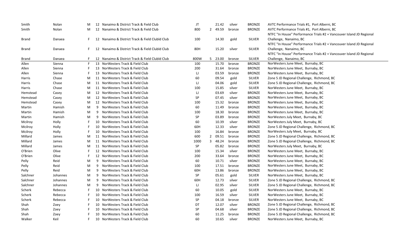| Smith    | Nolan    | M  |   | 12 Nanaimo & District Track & Field Club        | JT        | 21.42   | silver | <b>BRONZE</b> | AVTC Performance Trials #1, Port Alberni, BC                         |
|----------|----------|----|---|-------------------------------------------------|-----------|---------|--------|---------------|----------------------------------------------------------------------|
| Smith    | Nolan    | М  |   | 12 Nanaimo & District Track & Field Club        | 800       | 2 49.59 | bronze | <b>BRONZE</b> | AVTC Performance Trials #1, Port Alberni, BC                         |
|          |          |    |   |                                                 |           |         |        |               | NTFC "In House" Performance Trials #2 + Vancouver Island JD Regional |
| Brand    | Danaea   | F. |   | 12 Nanaimo & District Track & Field Clubld Club | 100       | 14.30   | gold   | <b>SILVER</b> | Challenge, Nanaimo, BC                                               |
|          |          |    |   |                                                 |           |         |        |               | NTFC "In House" Performance Trials #2 + Vancouver Island JD Regional |
| Brand    | Danaea   |    |   | 12 Nanaimo & District Track & Field Clubld Club | 80H       | 15.20   | silver | <b>SILVER</b> | Challenge, Nanaimo, BC                                               |
|          |          |    |   |                                                 |           |         |        |               | NTFC "In House" Performance Trials #2 + Vancouver Island JD Regional |
| Brand    | Danaea   |    |   | 12 Nanaimo & District Track & Field Clubld Club | 800W      | 5 23.00 | bronze | <b>SILVER</b> | Challenge, Nanaimo, BC                                               |
| Allen    | Sienna   | F  |   | 13 NorWesters Track & Field Club                | 100       | 15.70   | bronze | <b>BRONZE</b> | NorWesters June Meet, Burnaby, BC                                    |
| Allen    | Sienna   |    |   | 13 NorWesters Track & Field Club                | 200       | 31.64   | bronze | <b>BRONZE</b> | NorWesters June Meet, Burnaby, BC                                    |
| Allen    | Sienna   |    |   | 13 NorWesters Track & Field Club                | IJ        | 03.59   | bronze | <b>BRONZE</b> | NorWesters June Meet, Burnaby, BC                                    |
| Harris   | Chase    | M  |   | 11 NorWesters Track & Field Club                | 60        | 09.54   | gold   | <b>SILVER</b> | Zone 5 JD Regional Challenge, Richmond, BC                           |
| Harris   | Chase    | M  |   | 11 NorWesters Track & Field Club                | IJ        | 04.06   | gold   | <b>SILVER</b> | Zone 5 JD Regional Challenge, Richmond, BC                           |
| Harris   | Chase    | M  |   | 11 NorWesters Track & Field Club                | 100       | 15.85   | silver | <b>SILVER</b> | NorWesters June Meet, Burnaby, BC                                    |
| Hemstead | Casey    | M  |   | 12 NorWesters Track & Field Club                | IJ        | 03.69   | silver | <b>BRONZE</b> | NorWesters June Meet, Burnaby, BC                                    |
| Hemstead | Casey    | M  |   | 12 NorWesters Track & Field Club                | SP        | 07.45   | silver | <b>BRONZE</b> | NorWesters June Meet, Burnaby, BC                                    |
| Hemstead | Casey    | M  |   | 12 NorWesters Track & Field Club                | 100       | 15.32   | bronze | <b>BRONZE</b> | NorWesters June Meet, Burnaby, BC                                    |
| Martin   | Hamish   | M  | 9 | NorWesters Track & Field Club                   | 60        | 11.49   | bronze | <b>BRONZE</b> | NorWesters June Meet, Burnaby, BC                                    |
| Martin   | Hamish   | M  | 9 | NorWesters Track & Field Club                   | 100       | 18.30   | bronze | <b>BRONZE</b> | NorWesters June Meet, Burnaby, BC                                    |
| Martin   | Hamish   | M  | 9 | NorWesters Track & Field Club                   | SP        | 03.89   | bronze | <b>BRONZE</b> | NorWesters July Meet, Burnaby, BC                                    |
| Mcilroy  | Holly    |    |   | 10 NorWesters Track & Field Club                | 60        | 10.39   | silver | <b>BRONZE</b> | NorWesters July Meet, Burnaby, BC                                    |
| Mcilroy  | Holly    |    |   | 10 NorWesters Track & Field Club                | 60H       | 12.33   | silver | <b>BRONZE</b> | Zone 5 JD Regional Challenge, Richmond, BC                           |
| Mcilroy  | Holly    |    |   | 10 NorWesters Track & Field Club                | 100       | 16.84   | bronze | <b>BRONZE</b> | NorWesters July Meet, Burnaby, BC                                    |
| Millard  | James    | M  |   | 11 NorWesters Track & Field Club                | 600       | 2 09.51 | bronze | <b>BRONZE</b> | Zone 5 JD Regional Challenge, Richmond, BC                           |
| Millard  | James    | M  |   | 11 NorWesters Track & Field Club                | 1000      | 3 48.24 | bronze | <b>BRONZE</b> | Zone 5 JD Regional Challenge, Richmond, BC                           |
| Millard  | James    | M  |   | 11 NorWesters Track & Field Club                | SP        | 05.82   | bronze | <b>BRONZE</b> | NorWesters July Meet, Burnaby, BC                                    |
| O'Brien  | Olive    |    |   | 12 NorWesters Track & Field Club                | 100       | 15.34   | silver | <b>BRONZE</b> | NorWesters June Meet, Burnaby, BC                                    |
| O'Brien  | Olive    | F. |   | 12 NorWesters Track & Field Club                | 200       | 33.64   | bronze | <b>BRONZE</b> | NorWesters June Meet, Burnaby, BC                                    |
| Pelly    | Reid     | M  | 9 | NorWesters Track & Field Club                   | 60        | 10.71   | silver | <b>BRONZE</b> | NorWesters June Meet, Burnaby, BC                                    |
| Pelly    | Reid     | M  | 9 | NorWesters Track & Field Club                   | 100       | 17.51   | bronze | <b>BRONZE</b> | NorWesters June Meet, Burnaby, BC                                    |
| Pelly    | Reid     | M  | 9 | NorWesters Track & Field Club                   | 60H       | 13.86   | bronze | <b>BRONZE</b> | NorWesters June Meet, Burnaby, BC                                    |
| Salchner | Johannes | M  | 9 | NorWesters Track & Field Club                   | <b>SP</b> | 05.61   | gold   | <b>SILVER</b> | NorWesters June Meet, Burnaby, BC                                    |
| Salchner | Johannes | M  | 9 | NorWesters Track & Field Club                   | 60H       | 12.73   | silver | <b>SILVER</b> | Zone 5 JD Regional Challenge, Richmond, BC                           |
| Salchner | Johannes | M  | 9 | NorWesters Track & Field Club                   | IJ        | 02.95   | silver | <b>SILVER</b> | Zone 5 JD Regional Challenge, Richmond, BC                           |
| Scherk   | Rebecca  | F  |   | 10 NorWesters Track & Field Club                | 60        | 10.05   | gold   | <b>SILVER</b> | NorWesters June Meet, Burnaby, BC                                    |
| Scherk   | Rebecca  |    |   | 10 NorWesters Track & Field Club                | 100       | 16.59   | silver | <b>SILVER</b> | NorWesters June Meet, Burnaby, BC                                    |
| Scherk   | Rebecca  |    |   | 10 NorWesters Track & Field Club                | <b>SP</b> | 04.18   | bronze | <b>SILVER</b> | NorWesters June Meet, Burnaby, BC                                    |
| Shah     | Zoey     |    |   | 10 NorWesters Track & Field Club                | DT        | 12.07   | silver | <b>BRONZE</b> | Zone 5 JD Regional Challenge, Richmond, BC                           |
| Shah     | Zoey     |    |   | 10 NorWesters Track & Field Club                | SP        | 04.68   | silver | <b>BRONZE</b> | Zone 5 JD Regional Challenge, Richmond, BC                           |
| Shah     | Zoey     |    |   | 10 NorWesters Track & Field Club                | 60        | 11.25   | bronze | <b>BRONZE</b> | Zone 5 JD Regional Challenge, Richmond, BC                           |
| Walker   | Keil     | F. |   | 10 NorWesters Track & Field Club                | 60        | 10.65   | silver | <b>BRONZE</b> | NorWesters June Meet, Burnaby, BC                                    |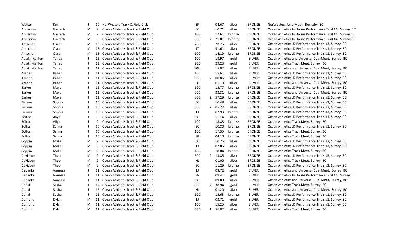| Walker        | Keil    |   |    | 10 NorWesters Track & Field Club      | SP  | 04.67   | silver | <b>BRONZE</b> | NorWesters June Meet, Burnaby, BC                         |
|---------------|---------|---|----|---------------------------------------|-----|---------|--------|---------------|-----------------------------------------------------------|
| Anderson      | Garreth | М | 9  | Ocean Athletics Track & Field Club    | 60  | 10.71   | silver | <b>BRONZE</b> | Ocean Athletics In House Performance Trial #4, Surrey, BC |
| Anderson      | Garreth | М | 9  | Ocean Athletics Track & Field Club    | 100 | 17.61   | bronze | <b>BRONZE</b> | Ocean Athletics In House Performance Trial #4, Surrey, BC |
| Anderson      | Garreth | М | 9  | Ocean Athletics Track & Field Club    | 600 | 2 21.01 | bronze | <b>BRONZE</b> | Ocean Athletics In House Performance Trial #4, Surrey, BC |
| Antscherl     | Oscar   | M |    | 13 Ocean Athletics Track & Field Club | 200 | 28.25   | silver | <b>BRONZE</b> | Ocean Athletics JD Performance Trials #3, Surrey, BC      |
| Antscherl     | Oscar   | М |    | 13 Ocean Athletics Track & Field Club | JT  | 31.61   | silver | <b>BRONZE</b> | Ocean Athletics JD Performance Trials #1, Surrey, BC      |
| Antscherl     | Oscar   | М |    | 13 Ocean Athletics Track & Field Club | 100 | 14.19   | bronze | <b>BRONZE</b> | Ocean Athletics JD Performance Trials #1, Surrey, BC      |
| Aulakh-Kahlon | Tanaz   | F |    | 12 Ocean Athletics Track & Field Club | 100 | 13.97   | gold   | <b>SILVER</b> | Ocean Athletics and Universal Dual Meet, Surrey, BC       |
| Aulakh-Kahlon | Tanaz   | F |    | 12 Ocean Athletics Track & Field Club | 200 | 29.23   | gold   | <b>SILVER</b> | Ocean Athletics Track Meet, Surrey, BC                    |
| Aulakh-Kahlon | Tanaz   |   | 12 | Ocean Athletics Track & Field Club    | 80H | 15.02   | silver | <b>SILVER</b> | Ocean Athletics and Universal Dual Meet, Surrey, BC       |
| Azadeh        | Bahar   | F | 11 | Ocean Athletics Track & Field Club    | 100 | 15.61   | silver | <b>SILVER</b> | Ocean Athletics JD Performance Trials #1, Surrey, BC      |
| Azadeh        | Bahar   | F | 11 | Ocean Athletics Track & Field Club    | 600 | 2 00.86 | silver | <b>SILVER</b> | Ocean Athletics JD Performance Trials #1, Surrey, BC      |
| Azadeh        | Bahar   | F | 11 | Ocean Athletics Track & Field Club    | HJ  | 01.10   | silver | <b>SILVER</b> | Ocean Athletics and Universal Dual Meet, Surrey, BC       |
| <b>Barker</b> | Maya    | F |    | 12 Ocean Athletics Track & Field Club | 100 | 15.77   | bronze | <b>BRONZE</b> | Ocean Athletics JD Performance Trials #3, Surrey, BC      |
| Barker        | Maya    | F |    | 12 Ocean Athletics Track & Field Club | 200 | 33.31   | bronze | <b>BRONZE</b> | Ocean Athletics and Universal Dual Meet, Surrey, BC       |
| Barker        | Maya    | F |    | 12 Ocean Athletics Track & Field Club | 800 | 2 57.29 | bronze | <b>BRONZE</b> | Ocean Athletics JD Performance Trials #1, Surrey, BC      |
| Birkner       | Sophia  | F |    | 10 Ocean Athletics Track & Field Club | 60  | 10.48   | silver | <b>BRONZE</b> | Ocean Athletics JD Performance Trials #3, Surrey, BC      |
| Birkner       | Sophia  |   |    | 10 Ocean Athletics Track & Field Club | 600 | 2 05.72 | silver | <b>BRONZE</b> | Ocean Athletics JD Performance Trials #3, Surrey, BC      |
| Birkner       | Sophia  |   |    | 10 Ocean Athletics Track & Field Club | IJ  | 02.93   | bronze | <b>BRONZE</b> | Ocean Athletics JD Performance Trials #3, Surrey, BC      |
| <b>Bolton</b> | Aliya   |   | 9  | Ocean Athletics Track & Field Club    | 60  | 11.14   | silver | <b>BRONZE</b> | Ocean Athletics JD Performance Trials #1, Surrey, BC      |
| <b>Bolton</b> | Aliya   |   |    | Ocean Athletics Track & Field Club    | 100 | 18.88   | bronze | <b>BRONZE</b> | Ocean Athletics Track Meet, Surrey, BC                    |
| <b>Bolton</b> | Selina  | F | 10 | Ocean Athletics Track & Field Club    | 60  | 10.80   | bronze | <b>BRONZE</b> | Ocean Athletics JD Performance Trials #1, Surrey, BC      |
| Bolton        | Selina  | F | 10 | Ocean Athletics Track & Field Club    | 100 | 17.35   | bronze | <b>BRONZE</b> | Ocean Athletics Track Meet, Surrey, BC                    |
| Bolton        | Selina  | F | 10 | Ocean Athletics Track & Field Club    | SP  | 04.10   | bronze | <b>BRONZE</b> | Ocean Athletics Track Meet, Surrey, BC                    |
| Coppin        | Makai   | M | 9  | Ocean Athletics Track & Field Club    | 60  | 10.76   | silver | <b>BRONZE</b> | Ocean Athletics JD Performance Trials #3, Surrey, BC      |
| Coppin        | Makai   | М | 9  | Ocean Athletics Track & Field Club    | U   | 02.85   | silver | <b>BRONZE</b> | Ocean Athletics JD Performance Trials #3, Surrey, BC      |
| Coppin        | Makai   | М | 9  | Ocean Athletics Track & Field Club    | 100 | 18.04   | bronze | <b>BRONZE</b> | Ocean Athletics Track Meet, Surrey, BC                    |
| Davidson      | Theo    | M | 9  | Ocean Athletics Track & Field Club    | 600 | 2 13.85 | silver | <b>BRONZE</b> | Ocean Athletics JD Performance Trials #3, Surrey, BC      |
| Davidson      | Theo    | М | 9  | Ocean Athletics Track & Field Club    | HJ  | 01.00   | silver | <b>BRONZE</b> | Ocean Athletics Track Meet, Surrey, BC                    |
| Davidson      | Theo    | М | 9  | Ocean Athletics Track & Field Club    | 60  | 11.29   | bronze | <b>BRONZE</b> | Ocean Athletics JD Performance Trials #3, Surrey, BC      |
| Debanks       | Vanessa | F | 11 | Ocean Athletics Track & Field Club    | IJ  | 03.72   | gold   | <b>SILVER</b> | Ocean Athletics and Universal Dual Meet, Surrey, BC       |
| Debanks       | Vanessa |   |    | 11 Ocean Athletics Track & Field Club | SP  | 09.41   | gold   | <b>SILVER</b> | Ocean Athletics In House Performance Trial #4, Surrey, BC |
| Debanks       | Vanessa |   | 11 | Ocean Athletics Track & Field Club    | 60  | 09.80   | silver | SILVER        | Ocean Athletics and Universal Dual Meet, Surrey, BC       |
| Dehal         | Sasha   |   | 12 | Ocean Athletics Track & Field Club    | 800 | 2 38.94 | gold   | <b>SILVER</b> | Ocean Athletics Track Meet, Surrey, BC                    |
| Dehal         | Sasha   |   | 12 | Ocean Athletics Track & Field Club    | HJ  | 01.20   | silver | <b>SILVER</b> | Ocean Athletics and Universal Dual Meet, Surrey, BC       |
| Dehal         | Sasha   | F | 12 | Ocean Athletics Track & Field Club    | 100 | 15.63   | bronze | <b>SILVER</b> | Ocean Athletics JD Performance Trials #1, Surrey, BC      |
| Dumont        | Dylan   | М | 11 | Ocean Athletics Track & Field Club    | IJ  | 03.71   | gold   | SILVER        | Ocean Athletics JD Performance Trials #1, Surrey, BC      |
| Dumont        | Dylan   | М | 11 | Ocean Athletics Track & Field Club    | 100 | 15.25   | silver | <b>SILVER</b> | Ocean Athletics JD Performance Trials #1, Surrey, BC      |
| Dumont        | Dylan   | М |    | 11 Ocean Athletics Track & Field Club | 600 | 1 56.82 | silver | <b>SILVER</b> | Ocean Athletics Track Meet, Surrey, BC                    |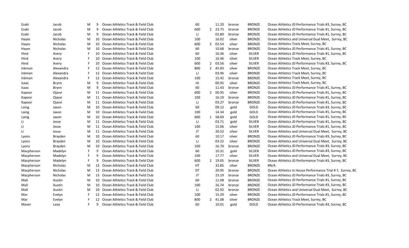| Ezaki      | Jacob           | M  | 9  | Ocean Athletics Track & Field Club    | 60  |                | 11.20   | bronze | <b>BRONZE</b> | Ocean Athletics JD Performance Trials #3, Surrey, BC      |
|------------|-----------------|----|----|---------------------------------------|-----|----------------|---------|--------|---------------|-----------------------------------------------------------|
| Ezaki      | Jacob           | M  | 9  | Ocean Athletics Track & Field Club    | 600 | $\overline{2}$ | 23.75   | bronze | <b>BRONZE</b> | Ocean Athletics JD Performance Trials #1, Surrey, BC      |
| Ezaki      | Jacob           | M  | 9  | Ocean Athletics Track & Field Club    | IJ  |                | 02.80   | bronze | <b>BRONZE</b> | Ocean Athletics JD Performance Trials #1, Surrey, BC      |
| Hayes      | Nicholas        | M  | 10 | Ocean Athletics Track & Field Club    | 100 |                | 16.02   | silver | <b>BRONZE</b> | Ocean Athletics and Universal Dual Meet, Surrey, BC       |
| Hayes      | <b>Nicholas</b> | M  | 10 | Ocean Athletics Track & Field Club    | 600 | $\mathbf{2}$   | 02.54   | silver | <b>BRONZE</b> | Ocean Athletics Track Meet, Surrey, BC                    |
| Hayes      | <b>Nicholas</b> | M  | 10 | Ocean Athletics Track & Field Club    | 60  |                | 10.68   | bronze | <b>BRONZE</b> | Ocean Athletics JD Performance Trials #1, Surrey, BC      |
| Hind       | Avery           |    | 10 | Ocean Athletics Track & Field Club    | 60  |                | 10.36   | silver | <b>SILVER</b> | Ocean Athletics JD Performance Trials #1, Surrey, BC      |
| Hind       | Avery           |    | 10 | Ocean Athletics Track & Field Club    | 100 |                | 16.46   | silver | <b>SILVER</b> | Ocean Athletics Track Meet, Surrey, BC                    |
| Hind       | Avery           | F  | 10 | Ocean Athletics Track & Field Club    | 600 | $\overline{2}$ | 03.56   | silver | <b>SILVER</b> | Ocean Athletics JD Performance Trials #3, Surrey, BC      |
| Inkman     | Alexandra       | F  | 12 | Ocean Athletics Track & Field Club    | 800 | 2              | 45.83   | silver | <b>BRONZE</b> | Ocean Athletics Track Meet, Surrey, BC                    |
| Inkman     | Alexandra       | F  | 12 | Ocean Athletics Track & Field Club    | IJ  |                | 03.96   | silver | <b>BRONZE</b> | Ocean Athletics Track Meet, Surrey, BC                    |
| Inkman     | Alexandra       | F  | 12 | Ocean Athletics Track & Field Club    | 100 |                | 15.42   | bronze | <b>BRONZE</b> | Ocean Athletics Track Meet, Surrey, BC                    |
| Isaac      | Brynn           | М  | 9  | Ocean Athletics Track & Field Club    | HJ  |                | 00.95   | silver | <b>BRONZE</b> | Ocean Athletics Track Meet, Surrey, BC                    |
| Isaac      | Brynn           | M  | 9  | Ocean Athletics Track & Field Club    | 60  |                | 11.43   | bronze | <b>BRONZE</b> | Ocean Athletics JD Performance Trials #1, Surrey, BC      |
| Kapoor     | Ojasvi          | M  | 11 | Ocean Athletics Track & Field Club    | 600 | $\overline{2}$ | 00.95   | silver | <b>BRONZE</b> | Ocean Athletics JD Performance Trials #1, Surrey, BC      |
| Kapoor     | Ojasvi          | M  |    | 11 Ocean Athletics Track & Field Club | 100 |                | 16.19   | bronze | <b>BRONZE</b> | Ocean Athletics JD Performance Trials #1, Surrey, BC      |
| Kapoor     | Ojasvi          | M  |    | 11 Ocean Athletics Track & Field Club | IJ  |                | 03.27   | bronze | <b>BRONZE</b> | Ocean Athletics JD Performance Trials #1, Surrey, BC      |
| Laing      | Jaxon           | M  | 10 | Ocean Athletics Track & Field Club    | 60  |                | 09.12   | gold   | GOLD          | Ocean Athletics JD Performance Trials #3, Surrey, BC      |
| Laing      | Jaxon           | M  | 10 | Ocean Athletics Track & Field Club    | 100 |                | 14.34   | gold   | GOLD          | Ocean Athletics JD Performance Trials #1, Surrey, BC      |
| Laing      | Jaxon           | M  | 10 | Ocean Athletics Track & Field Club    | 600 | 1              | 58.69   | gold   | GOLD          | Ocean Athletics JD Performance Trials #1, Surrey, BC      |
| Li         | Jesse           | M  | 11 | Ocean Athletics Track & Field Club    | IJ  |                | 03.71   | gold   | <b>SILVER</b> | Ocean Athletics JD Performance Trials #1, Surrey, BC      |
| Li         | Jesse           | M  | 11 | Ocean Athletics Track & Field Club    | 100 |                | 15.06   | silver | <b>SILVER</b> | Ocean Athletics JD Performance Trials #1, Surrey, BC      |
| Li         | Jesse           | M  | 11 | Ocean Athletics Track & Field Club    | JT  |                | 20.52   | silver | <b>SILVER</b> | Ocean Athletics and Universal Dual Meet, Surrey, BC       |
| Lyons      | Brayden         | M  | 10 | Ocean Athletics Track & Field Club    | 60  |                | 10.17   | silver | <b>BRONZE</b> | Ocean Athletics JD Performance Trials #3, Surrey, BC      |
| Lyons      | Brayden         | M  | 10 | Ocean Athletics Track & Field Club    | IJ  |                | 03.22   | silver | <b>BRONZE</b> | Ocean Athletics and Universal Dual Meet, Surrey, BC       |
| Lyons      | Brayden         | M  | 10 | Ocean Athletics Track & Field Club    | 100 |                | 16.70   | bronze | <b>BRONZE</b> | Ocean Athletics JD Performance Trials #3, Surrey, BC      |
| Macpherson | Madelyn         | F  | 9  | Ocean Athletics Track & Field Club    | 60  |                | 10.31   | gold   | <b>SILVER</b> | Ocean Athletics JD Performance Trials #3, Surrey, BC      |
| Macpherson | Madelyn         | F  | q  | Ocean Athletics Track & Field Club    | 100 |                | 17.77   | silver | <b>SILVER</b> | Ocean Athletics and Universal Dual Meet, Surrey, BC       |
| Macpherson | Madelyn         | F  | q  | Ocean Athletics Track & Field Club    | 600 |                | 2 19.05 | bronze | <b>SILVER</b> | Ocean Athletics JD Performance Trials #3, Surrey, BC      |
| Macpherson | <b>Nicholas</b> | M  | 13 | Ocean Athletics Track & Field Club    | HT  |                | 32.85   | silver | <b>BRONZE</b> | #N/A                                                      |
| Macpherson | <b>Nicholas</b> | M  | 13 | Ocean Athletics Track & Field Club    | DT  |                | 20.95   | bronze | <b>BRONZE</b> | Ocean Athletics In House Performance Trial #7, Surrey, BC |
| Macpherson | <b>Nicholas</b> | M  | 13 | Ocean Athletics Track & Field Club    | JT  |                | 23.19   | bronze | <b>BRONZE</b> | Ocean Athletics JD Performance Trials #3, Surrey, BC      |
| Mali       | Austin          | M  | 10 | Ocean Athletics Track & Field Club    | 60  |                | 11.08   | bronze | <b>BRONZE</b> | Ocean Athletics JD Performance Trials #1, Surrey, BC      |
| Mali       | Austin          | M  | 10 | Ocean Athletics Track & Field Club    | 100 |                | 16.74   | bronze | <b>BRONZE</b> | Ocean Athletics JD Performance Trials #3, Surrey, BC      |
| Mali       | Austin          | M  | 10 | Ocean Athletics Track & Field Club    | IJ  |                | 02.92   | bronze | <b>BRONZE</b> | Ocean Athletics and Universal Dual Meet, Surrey, BC       |
| Mar        | Evelyn          |    | 12 | Ocean Athletics Track & Field Club    | 100 |                | 15.29   | silver | <b>BRONZE</b> | Ocean Athletics JD Performance Trials #1, Surrey, BC      |
| Mar        | Evelyn          |    | 12 | Ocean Athletics Track & Field Club    | 800 | 2              | 41.08   | silver | <b>BRONZE</b> | Ocean Athletics Track Meet, Surrey, BC                    |
| Maver      | Lexa            | F. | 9  | Ocean Athletics Track & Field Club    | 60  |                | 10.01   | gold   | GOLD          | Ocean Athletics JD Performance Trials #3, Surrey, BC      |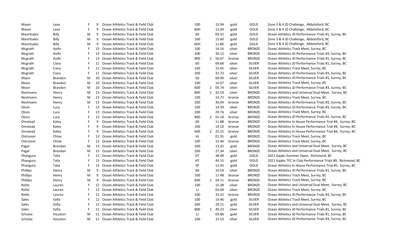| Maver       | Lexa           |   | 9  | Ocean Athletics Track & Field Club    | 100 |                | 15.94   | gold   | GOLD          | Zone 3 & 4 JD Challenge, Abbotsford, BC                     |
|-------------|----------------|---|----|---------------------------------------|-----|----------------|---------|--------|---------------|-------------------------------------------------------------|
| Maver       | Lexa           | E | 9  | Ocean Athletics Track & Field Club    | 60H |                | 12.04   | gold   | GOLD          | Zone 3 & 4 JD Challenge, Abbotsford, BC                     |
| Mavritsakis | Billy          | M | 9  | Ocean Athletics Track & Field Club    | 60  |                | 09.52   | gold   | GOLD          | Ocean Athletics JD Performance Trials #1, Surrey, BC        |
| Mavritsakis | Billy          | M | 9  | Ocean Athletics Track & Field Club    | 100 |                | 15.60   | gold   | GOLD          | Zone 3 & 4 JD Challenge, Abbotsford, BC                     |
| Mavritsakis | Billy          | M | 9  | Ocean Athletics Track & Field Club    | 60H |                | 11.86   | gold   | GOLD          | Zone 3 & 4 JD Challenge, Abbotsford, BC                     |
| Mcgrath     | Aoife          | F |    | 13 Ocean Athletics Track & Field Club | 100 |                | 14.16   | silver | <b>BRONZE</b> | Ocean Athletics Track Meet, Surrey, BC                      |
| Mcgrath     | Aoife          | E |    | 13 Ocean Athletics Track & Field Club | 200 |                | 30.12   | silver | <b>BRONZE</b> | Ocean Athletics JD Performance Trials #3, Surrey, BC        |
| Mcgrath     | Aoife          | E |    | 13 Ocean Athletics Track & Field Club | 800 | $\overline{2}$ | 56.07   | bronze | <b>BRONZE</b> | Ocean Athletics JD Performance Trials #1, Surrey, BC        |
| Mcgrath     | Ciara          | F |    | 11 Ocean Athletics Track & Field Club | 60  |                | 09.68   | silver | <b>SILVER</b> | Ocean Athletics JD Performance Trials #1, Surrey, BC        |
| Mcgrath     | Ciara          | E |    | 11 Ocean Athletics Track & Field Club | 100 |                | 15.45   | silver | <b>SILVER</b> | Ocean Athletics Track Meet, Surrey, BC                      |
| Mcgrath     | Ciara          | F | 11 | Ocean Athletics Track & Field Club    | 200 |                | 31.73   | silver | SILVER        | Ocean Athletics JD Performance Trials #3, Surrey, BC        |
| Moon        | <b>Brandon</b> | M | 10 | Ocean Athletics Track & Field Club    | 60  |                | 09.99   | silver | <b>SILVER</b> | Ocean Athletics JD Performance Trials #1, Surrey, BC        |
| Moon        | <b>Brandon</b> | M | 10 | Ocean Athletics Track & Field Club    | 100 |                | 16.07   | silver | <b>SILVER</b> | Ocean Athletics Track Meet, Surrey, BC                      |
| Moon        | Brandon        | M |    | 10 Ocean Athletics Track & Field Club | 600 |                | 2 04.74 | silver | <b>SILVER</b> | Ocean Athletics JD Performance Trials #3, Surrey, BC        |
| Nestmann    | Henry          | M |    | 13 Ocean Athletics Track & Field Club | 800 | $2^{\circ}$    | 32.59   | silver | <b>BRONZE</b> | Ocean Athletics and Universal Dual Meet, Surrey, BC         |
| Nestmann    | Henry          | M |    | 13 Ocean Athletics Track & Field Club | 100 |                | 14.72   | bronze | <b>BRONZE</b> | Ocean Athletics Track Meet, Surrey, BC                      |
| Nestmann    | Henry          | M |    | 13 Ocean Athletics Track & Field Club | 200 |                | 30.04   | bronze | <b>BRONZE</b> | Ocean Athletics JD Performance Trials #3, Surrey, BC        |
| Olson       | Lucy           | F |    | 13 Ocean Athletics Track & Field Club | 100 |                | 14.39   | silver | <b>BRONZE</b> | Ocean Athletics JD Performance Trials #3, Surrey, BC        |
| Olson       | Lucy           | F |    | 13 Ocean Athletics Track & Field Club | 200 |                | 29.76   | silver | <b>BRONZE</b> | Ocean Athletics Track Meet, Surrey, BC                      |
| Olson       | Lucy           | E |    | 13 Ocean Athletics Track & Field Club | 800 |                | 2 55.18 | bronze | <b>BRONZE</b> | Ocean Athletics JD Performance Trials #1, Surrey, BC        |
| Omstead     | Kaley          | F | 9  | Ocean Athletics Track & Field Club    | 60  |                | 11.88   | bronze | <b>BRONZE</b> | Ocean Athletics In House Performance Trial #4, Surrey, BC   |
| Omstead     | Kaley          | F | 9  | Ocean Athletics Track & Field Club    | 100 |                | 19.10   | bronze | <b>BRONZE</b> | Ocean Athletics In House Performance Trial #4, Surrey, BC   |
| Omstead     | Kaley          | F | 9  | Ocean Athletics Track & Field Club    | 600 | $2^{\circ}$    | 25.25   | bronze | <b>BRONZE</b> | Ocean Athletics In House Performance Trial #4, Surrey, BC   |
| Ostrosser   | Chloe          | E | 13 | Ocean Athletics Track & Field Club    | HJ  |                | 01.35   | gold   | <b>BRONZE</b> | Ocean Athletics Track Meet, Surrey, BC                      |
| Ostrosser   | Chloe          | F |    | 13 Ocean Athletics Track & Field Club | 100 |                | 15.46   | bronze | <b>BRONZE</b> | Ocean Athletics Track Meet, Surrey, BC                      |
| Pagal       | <b>Brendan</b> | M |    | 13 Ocean Athletics Track & Field Club | 100 |                | 13.25   | gold   | <b>BRONZE</b> | Ocean Athletics and Universal Dual Meet, Surrey, BC         |
| Pagal       | Brendan        | M |    | 13 Ocean Athletics Track & Field Club | 200 |                | 27.34   | silver | <b>BRONZE</b> | Ocean Athletics and Universal Dual Meet, Surrey, BC         |
| Phangura    | Talia          | F |    | 13 Ocean Athletics Track & Field Club | DT  |                | 38.49   | gold   | GOLD          | 2021 Kajaks Summer Open, Richmond, BC                       |
| Phangura    | Talia          | F | 13 | Ocean Athletics Track & Field Club    | НT  |                | 44.15   | gold   | GOLD          | 2021 Kajaks TFC In Club Performance Trials #9, Richmond, BC |
| Phangura    | Talia          | F |    | 13 Ocean Athletics Track & Field Club | SP  |                | 12.93   | gold   | GOLD          | Ocean Athletics In House Performance Trial #5, Surrey, BC   |
| Phillips    | Henry          | M | 9  | Ocean Athletics Track & Field Club    | 60  |                | 10.54   | silver | <b>BRONZE</b> | Ocean Athletics JD Performance Trials #1, Surrey, BC        |
| Phillips    | Henry          | M | 9  | Ocean Athletics Track & Field Club    | 100 |                | 17.48   | bronze | <b>BRONZE</b> | Ocean Athletics Track Meet, Surrey, BC                      |
| Phillips    | Henry          | M | 9  | Ocean Athletics Track & Field Club    | 600 |                | 2 24.11 | bronze | <b>BRONZE</b> | Ocean Athletics Track Meet, Surrey, BC                      |
| Relitz      | Lauren         | F |    | 12 Ocean Athletics Track & Field Club | 100 |                | 15.38   | silver | <b>BRONZE</b> | Ocean Athletics and Universal Dual Meet, Surrey, BC         |
| Relitz      | Lauren         | F |    | 12 Ocean Athletics Track & Field Club | IJ  |                | 03.69   | silver | <b>BRONZE</b> | Ocean Athletics Track Meet, Surrey, BC                      |
| Relitz      | Lauren         | E |    | 12 Ocean Athletics Track & Field Club | 200 |                | 33.25   | bronze | <b>BRONZE</b> | Ocean Athletics JD Performance Trials #3, Surrey, BC        |
| Sales       | Sofia          | E |    | 12 Ocean Athletics Track & Field Club | 100 |                | 14.46   | gold   | <b>SILVER</b> | Ocean Athletics Track Meet, Surrey, BC                      |
| Sales       | Sofia          | E |    | 12 Ocean Athletics Track & Field Club | 200 |                | 29.21   | gold   | <b>SILVER</b> | Ocean Athletics and Universal Dual Meet, Surrey, BC         |
| Sales       | Sofia          | F |    | 12 Ocean Athletics Track & Field Club | 800 | $\mathbf{2}$   | 49.23   | silver | <b>SILVER</b> | Ocean Athletics JD Performance Trials #1, Surrey, BC        |
| Schulze     | Houston        | M | 11 | Ocean Athletics Track & Field Club    | IJ  |                | 03.86   | gold   | <b>SILVER</b> | Ocean Athletics JD Performance Trials #1, Surrey, BC        |
| Schulze     | Houston        | M |    | 11 Ocean Athletics Track & Field Club | 100 |                | 15.53   | silver | <b>SILVER</b> | Ocean Athletics JD Performance Trials #3, Surrey, BC        |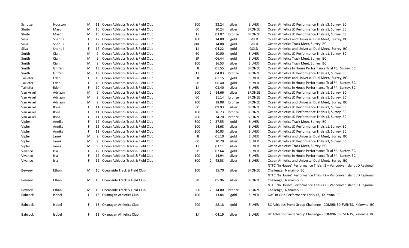| Schulze        | Houston | М  |    | 11 Ocean Athletics Track & Field Club | 200 |                | 32.24   | silver | <b>SILVER</b> | Ocean Athletics JD Performance Trials #3, Surrey, BC                 |
|----------------|---------|----|----|---------------------------------------|-----|----------------|---------|--------|---------------|----------------------------------------------------------------------|
| Shuto          | Mason   | М  | 10 | Ocean Athletics Track & Field Club    | 60  |                | 10.24   | silver | <b>BRONZE</b> | Ocean Athletics JD Performance Trials #1, Surrey, BC                 |
| Shuto          | Mason   | M  |    | 10 Ocean Athletics Track & Field Club | IJ  |                | 03.07   | bronze | <b>BRONZE</b> | Ocean Athletics JD Performance Trials #1, Surrey, BC                 |
| Silva          | Shenuli | -F |    | 12 Ocean Athletics Track & Field Club | 100 |                | 14.00   | gold   | GOLD          | Ocean Athletics and Universal Dual Meet, Surrey, BC                  |
| Silva          | Shenuli | F  |    | 12 Ocean Athletics Track & Field Club | 80H |                | 14.08   | gold   | GOLD          | Ocean Athletics Track Meet, Surrey, BC                               |
| Silva          | Shenuli | F. | 12 | Ocean Athletics Track & Field Club    | IJ  |                | 04.22   | gold   | GOLD          | Ocean Athletics and Universal Dual Meet, Surrey, BC                  |
| Smith          | Cian    | M  | 9  | Ocean Athletics Track & Field Club    | 60  |                | 10.00   | gold   | SILVER        | Ocean Athletics JD Performance Trials #1, Surrey, BC                 |
| Smith          | Cian    | M  | 9  | Ocean Athletics Track & Field Club    | SP  |                | 06.44   | gold   | <b>SILVER</b> | Ocean Athletics Track Meet, Surrey, BC                               |
| Smith          | Cian    | M  | 9  | Ocean Athletics Track & Field Club    | 100 |                | 16.53   | silver | <b>SILVER</b> | Ocean Athletics Track Meet, Surrey, BC                               |
| Smith          | Griffen | M  | 13 | Ocean Athletics Track & Field Club    | HJ  |                | 01.55   | gold   | <b>BRONZE</b> | Ocean Athletics In House Performance Trial #5, Surrey, BC            |
| Smith          | Griffen | M  |    | 13 Ocean Athletics Track & Field Club | IJ  |                | 04.03   | bronze | <b>BRONZE</b> | Ocean Athletics JD Performance Trials #3, Surrey, BC                 |
| Taillefer      | Eden    | F  |    | 10 Ocean Athletics Track & Field Club | HJ  |                | 01.15   | gold   | SILVER        | Ocean Athletics and Universal Dual Meet, Surrey, BC                  |
| Taillefer      | Eden    | F  | 10 | Ocean Athletics Track & Field Club    | SP  |                | 06.40   | gold   | SILVER        | Ocean Athletics In House Performance Trial #4, Surrey, BC            |
| Taillefer      | Eden    | F  | 10 | Ocean Athletics Track & Field Club    | IJ  |                | 03.40   | silver | SILVER        | Ocean Athletics In House Performance Trial #4, Surrey, BC            |
| Van Arkel      | Adriaan | M  | 9  | Ocean Athletics Track & Field Club    | 600 | $\overline{2}$ | 14.66   | silver | <b>BRONZE</b> | Ocean Athletics JD Performance Trials #1, Surrey, BC                 |
| Van Arkel      | Adriaan | M  | 9  | Ocean Athletics Track & Field Club    | 60  |                | 11.14   | bronze | <b>BRONZE</b> | Ocean Athletics JD Performance Trials #1, Surrey, BC                 |
| Van Arkel      | Adriaan | M  | 9  | Ocean Athletics Track & Field Club    | 100 |                | 18.08   | bronze | <b>BRONZE</b> | Ocean Athletics and Universal Dual Meet, Surrey, BC                  |
| Van Arkel      | Ilona   | F. |    | 11 Ocean Athletics Track & Field Club | 60  |                | 09.93   | silver | <b>BRONZE</b> | Ocean Athletics JD Performance Trials #1, Surrey, BC                 |
| Van Arkel      | Ilona   | F  |    | 11 Ocean Athletics Track & Field Club | 100 |                | 16.23   | bronze | <b>BRONZE</b> | Ocean Athletics JD Performance Trials #1, Surrey, BC                 |
| Van Arkel      | Ilona   | F  |    | 11 Ocean Athletics Track & Field Club | 200 |                | 34.20   | bronze | <b>BRONZE</b> | Ocean Athletics JD Performance Trials #3, Surrey, BC                 |
| Vipler         | Annika  | F  | 12 | Ocean Athletics Track & Field Club    | 800 | $\overline{2}$ | 37.55   | gold   | SILVER        | Ocean Athletics Track Meet, Surrey, BC                               |
| Vipler         | Annika  | F. | 12 | Ocean Athletics Track & Field Club    | 100 |                | 14.68   | silver | <b>SILVER</b> | Ocean Athletics JD Performance Trials #1, Surrey, BC                 |
| Vipler         | Annika  | F  | 12 | Ocean Athletics Track & Field Club    | 200 |                | 30.03   | silver | SILVER        | Ocean Athletics JD Performance Trials #3, Surrey, BC                 |
| Vipler         | Janek   | M  | 9  | Ocean Athletics Track & Field Club    | HJ  |                | 01.10   | gold   | <b>SILVER</b> | Ocean Athletics and Universal Dual Meet, Surrey, BC                  |
| Vipler         | Janek   | M  | 9  | Ocean Athletics Track & Field Club    | 60  |                | 10.79   | silver | SILVER        | Ocean Athletics JD Performance Trials #3, Surrey, BC                 |
| Vipler         | Janek   | M  | 9  | Ocean Athletics Track & Field Club    | IJ  |                | 03.11   | silver | <b>SILVER</b> | Ocean Athletics Track Meet, Surrey, BC                               |
| Vivanco        | Isla    | F  |    | 12 Ocean Athletics Track & Field Club | SP  |                | 07.64   | gold   | <b>SILVER</b> | Ocean Athletics In House Performance Trial #4, Surrey, BC            |
| Vivanco        | Isla    |    |    | 12 Ocean Athletics Track & Field Club | 100 |                | 14.94   | silver | <b>SILVER</b> | Ocean Athletics In House Performance Trial #4, Surrey, BC            |
| Vivanco        | Isla    | F  |    | 12 Ocean Athletics Track & Field Club | 800 | $\mathbf{2}$   | 45.53   | silver | <b>SILVER</b> | Ocean Athletics and Universal Dual Meet, Surrey, BC                  |
|                |         |    |    |                                       |     |                |         |        |               | NTFC "In House" Performance Trials #2 + Vancouver Island JD Regional |
| Bewsey         | Ethan   | M  | 10 | Oceanside Track & Field Club          | 100 |                | 15.70   | silver | <b>BRONZE</b> | Challenge, Nanaimo, BC                                               |
|                |         |    |    |                                       |     |                |         |        |               | NTFC "In House" Performance Trials #2 + Vancouver Island JD Regional |
| Bewsey         | Ethan   | M  | 10 | Oceanside Track & Field Club          | SP  |                | 05.96   | silver | <b>BRONZE</b> | Challenge, Nanaimo, BC                                               |
|                |         |    |    |                                       |     |                |         |        |               | NTFC "In House" Performance Trials #2 + Vancouver Island JD Regional |
| Bewsey         | Ethan   | М  | 10 | Oceanside Track & Field Club          | 600 |                | 2 14.00 | bronze | <b>BRONZE</b> | Challenge, Nanaimo, BC                                               |
| <b>Babcock</b> | Isobel  | F. |    | 13 Okanagan Athletics Club            | 100 |                | 13.84   | gold   | <b>SILVER</b> | OAC In Club Performance Trials #3, Kelowna, BC                       |
|                |         |    |    |                                       |     |                |         |        |               |                                                                      |
| <b>Babcock</b> | Isobel  | F  | 13 | Okanagan Athletics Club               | 200 |                | 28.18   | gold   | SILVER        | BC Athletics Event Group Challenge - COMBINED EVENTS, Kelowna, BC    |
|                |         |    |    |                                       |     |                |         |        |               |                                                                      |
| <b>Babcock</b> | Isobel  | F. |    | 13 Okanagan Athletics Club            | IJ  |                | 04.19   | silver | <b>SILVER</b> | BC Athletics Event Group Challenge - COMBINED EVENTS, Kelowna, BC    |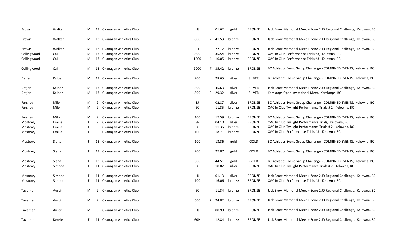| Brown       | Walker | M |    | 13 Okanagan Athletics Club | HJ   |         | 01.62 | gold   | <b>BRONZE</b> | Jack Brow Memorial Meet + Zone 2 JD Regional Challenge, Kelowna, BC |
|-------------|--------|---|----|----------------------------|------|---------|-------|--------|---------------|---------------------------------------------------------------------|
| Brown       | Walker | M |    | 13 Okanagan Athletics Club | 800  | 2 41.53 |       | bronze | <b>BRONZE</b> | Jack Brow Memorial Meet + Zone 2 JD Regional Challenge, Kelowna, BC |
| Brown       | Walker | M |    | 13 Okanagan Athletics Club | HT   |         | 27.12 | bronze | <b>BRONZE</b> | Jack Brow Memorial Meet + Zone 2 JD Regional Challenge, Kelowna, BC |
| Collingwood | Cai    | M |    | 13 Okanagan Athletics Club | 800  | 2 35.54 |       | bronze | <b>BRONZE</b> | OAC In Club Performance Trials #3, Kelowna, BC                      |
| Collingwood | Cai    | M |    | 13 Okanagan Athletics Club | 1200 | 4 10.05 |       | bronze | <b>BRONZE</b> | OAC In Club Performance Trials #3, Kelowna, BC                      |
| Collingwood | Cai    | M |    | 13 Okanagan Athletics Club | 2000 | 7 35.42 |       | bronze | <b>BRONZE</b> | BC Athletics Event Group Challenge - COMBINED EVENTS, Kelowna, BC   |
| Detjen      | Kaiden | M |    | 13 Okanagan Athletics Club | 200  |         | 28.65 | silver | <b>SILVER</b> | BC Athletics Event Group Challenge - COMBINED EVENTS, Kelowna, BC   |
| Detjen      | Kaiden | M |    | 13 Okanagan Athletics Club | 300  | 45.63   |       | silver | <b>SILVER</b> | Jack Brow Memorial Meet + Zone 2 JD Regional Challenge, Kelowna, BC |
| Detjen      | Kaiden | M |    | 13 Okanagan Athletics Club | 800  | 2 29.32 |       | silver | SILVER        | Kamloops Open Invitational Meet, Kamloops, BC                       |
| Fershau     | Milo   | M | 9  | Okanagan Athletics Club    | IJ   | 02.87   |       | silver | <b>BRONZE</b> | BC Athletics Event Group Challenge - COMBINED EVENTS, Kelowna, BC   |
| Fershau     | Milo   | M | 9  | Okanagan Athletics Club    | 60   |         | 11.35 | bronze | <b>BRONZE</b> | OAC In Club Twilight Performance Trials # 2, Kelowna, BC            |
| Fershau     | Milo   | M | 9  | Okanagan Athletics Club    | 100  |         | 17.59 | bronze | <b>BRONZE</b> | BC Athletics Event Group Challenge - COMBINED EVENTS, Kelowna, BC   |
| Mostowy     | Emilie |   | 9  | Okanagan Athletics Club    | SP   |         | 04.10 | silver | <b>BRONZE</b> | OAC In Club Twilight Performance Trials, Kelowna, BC                |
| Mostowy     | Emilie |   |    | Okanagan Athletics Club    | 60   |         | 11.35 | bronze | <b>BRONZE</b> | OAC In Club Twilight Performance Trials # 2, Kelowna, BC            |
| Mostowy     | Emilie | F |    | Okanagan Athletics Club    | 100  |         | 18.71 | bronze | <b>BRONZE</b> | OAC In Club Performance Trials #3, Kelowna, BC                      |
| Mostowy     | Siena  |   |    | Okanagan Athletics Club    | 100  |         | 13.36 | gold   | GOLD          | BC Athletics Event Group Challenge - COMBINED EVENTS, Kelowna, BC   |
| Mostowy     | Siena  |   | 13 | Okanagan Athletics Club    | 200  | 27.07   |       | gold   | GOLD          | BC Athletics Event Group Challenge - COMBINED EVENTS, Kelowna, BC   |
| Mostowy     | Siena  |   |    | 13 Okanagan Athletics Club | 300  | 44.51   |       | gold   | GOLD          | BC Athletics Event Group Challenge - COMBINED EVENTS, Kelowna, BC   |
| Mostowy     | Simone | F |    | 11 Okanagan Athletics Club | 60   | 10.02   |       | silver | <b>BRONZE</b> | OAC In Club Twilight Performance Trials # 2, Kelowna, BC            |
| Mostowy     | Simone |   |    | 11 Okanagan Athletics Club | HJ   | 01.13   |       | silver | <b>BRONZE</b> | Jack Brow Memorial Meet + Zone 2 JD Regional Challenge, Kelowna, BC |
| Mostowy     | Simone |   |    | 11 Okanagan Athletics Club | 100  |         | 16.06 | bronze | <b>BRONZE</b> | OAC In Club Performance Trials #3, Kelowna, BC                      |
| Taverner    | Austin | M | 9  | Okanagan Athletics Club    | 60   |         | 11.34 | bronze | <b>BRONZE</b> | Jack Brow Memorial Meet + Zone 2 JD Regional Challenge, Kelowna, BC |
| Taverner    | Austin | M | 9  | Okanagan Athletics Club    | 600  | 2 24.02 |       | bronze | <b>BRONZE</b> | Jack Brow Memorial Meet + Zone 2 JD Regional Challenge, Kelowna, BC |
| Taverner    | Austin | M | 9  | Okanagan Athletics Club    | HJ   |         | 00.90 | bronze | <b>BRONZE</b> | Jack Brow Memorial Meet + Zone 2 JD Regional Challenge, Kelowna, BC |
| Taverner    | Kenzie | F |    | 11 Okanagan Athletics Club | 60H  |         | 12.84 | bronze | <b>BRONZE</b> | Jack Brow Memorial Meet + Zone 2 JD Regional Challenge, Kelowna, BC |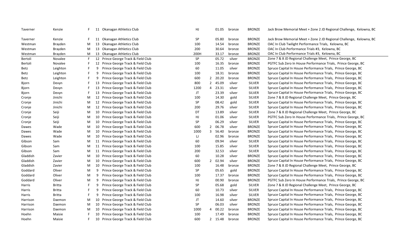| Taverner | Kenzie        |   |    | 11 Okanagan Athletics Club          | HJ   |                | 01.05   | bronze | <b>BRONZE</b> | Jack Brow Memorial Meet + Zone 2 JD Regional Challenge, Kelowna, BC |
|----------|---------------|---|----|-------------------------------------|------|----------------|---------|--------|---------------|---------------------------------------------------------------------|
| Taverner | Kenzie        | F |    | 11 Okanagan Athletics Club          | SP   |                | 05.80   | bronze | <b>BRONZE</b> | Jack Brow Memorial Meet + Zone 2 JD Regional Challenge, Kelowna, BC |
| Westman  | Brayden       | М |    | 13 Okanagan Athletics Club          | 100  |                | 14.54   | bronze | <b>BRONZE</b> | OAC In Club Twilight Performance Trials, Kelowna, BC                |
| Westman  | Brayden       | М |    | 13 Okanagan Athletics Club          | 200  |                | 30.64   | bronze | <b>BRONZE</b> | OAC In Club Performance Trials #3, Kelowna, BC                      |
| Westman  | Brayden       | M |    | 13 Okanagan Athletics Club          | 200H |                | 33.17   | bronze | <b>BRONZE</b> | OAC In Club Performance Trials #3, Kelowna, BC                      |
| Bertoli  | Novalee       | F |    | 12 Prince George Track & Field Club | SP   |                | 05.72   | silver | <b>BRONZE</b> | Zone 7 & 8 JD Regional Challenge Meet, Prince George, BC            |
| Bertoli  | Novalee       |   |    | 12 Prince George Track & Field Club | 100  |                | 16.35   | bronze | <b>BRONZE</b> | PGTFC Sub Zero In House Performance Trials, Prince George, BC       |
| Betz     | Leighton      |   | 9  | Prince George Track & Field Club    | 60   |                | 11.05   | silver | <b>BRONZE</b> | Spruce Capital In House Performance Trials, Prince George, BC       |
| Betz     | Leighton      | F | 9  | Prince George Track & Field Club    | 100  |                | 18.31   | bronze | <b>BRONZE</b> | Spruce Capital In House Performance Trials, Prince George, BC       |
| Betz     | Leighton      | F | 9  | Prince George Track & Field Club    | 600  |                | 2 20.20 | bronze | <b>BRONZE</b> | Spruce Capital In House Performance Trials, Prince George, BC       |
| Bjorn    | Devyn         |   | 13 | Prince George Track & Field Club    | 800  |                | 2 45.09 | silver | SILVER        | Spruce Capital In House Performance Trials, Prince George, BC       |
| Bjorn    | Devyn         |   |    | 13 Prince George Track & Field Club | 1200 |                | 4 23.31 | silver | <b>SILVER</b> | Spruce Capital In House Performance Trials, Prince George, BC       |
| Bjorn    | Devyn         |   |    | 13 Prince George Track & Field Club | JT   |                | 23.39   | silver | <b>SILVER</b> | Spruce Capital In House Performance Trials, Prince George, BC       |
| Cronje   | Jinichi       | М |    | 12 Prince George Track & Field Club | 100  |                | 14.30   | gold   | SILVER        | Zone 7 & 8 JD Regional Challenge Meet, Prince George, BC            |
| Cronje   | Jinichi       | М |    | 12 Prince George Track & Field Club | SP   |                | 08.42   | gold   | SILVER        | Spruce Capital In House Performance Trials, Prince George, BC       |
| Cronje   | Jinichi       | М |    | 12 Prince George Track & Field Club | 200  |                | 29.76   | silver | <b>SILVER</b> | Spruce Capital In House Performance Trials, Prince George, BC       |
| Cronje   | Seiji         | М | 10 | Prince George Track & Field Club    | DT   |                | 13.89   | silver | SILVER        | Zone 7 & 8 JD Regional Challenge Meet, Prince George, BC            |
| Cronje   | Seiji         | М | 10 | Prince George Track & Field Club    | HJ   |                | 01.06   | silver | <b>SILVER</b> | PGTFC Sub Zero In House Performance Trials, Prince George, BC       |
| Cronje   | Seiji         | М | 10 | Prince George Track & Field Club    | SP   |                | 06.29   | silver | <b>SILVER</b> | Spruce Capital In House Performance Trials, Prince George, BC       |
| Dawes    | Wade          | М | 10 | Prince George Track & Field Club    | 600  | $\overline{2}$ | 06.78   | silver | <b>BRONZE</b> | Spruce Capital In House Performance Trials, Prince George, BC       |
| Dawes    | Wade          | М | 10 | Prince George Track & Field Club    | 1000 | 3              | 56.40   | bronze | <b>BRONZE</b> | Spruce Capital In House Performance Trials, Prince George, BC       |
| Dawes    | Wade          | М | 10 | Prince George Track & Field Club    | IJ   |                | 02.96   | bronze | <b>BRONZE</b> | Spruce Capital In House Performance Trials, Prince George, BC       |
| Gibson   | Sam           | M | 11 | Prince George Track & Field Club    | 60   |                | 09.94   | silver | <b>SILVER</b> | Spruce Capital In House Performance Trials, Prince George, BC       |
| Gibson   | Sam           | М | 11 | Prince George Track & Field Club    | 100  |                | 15.85   | silver | SILVER        | Spruce Capital In House Performance Trials, Prince George, BC       |
| Gibson   | Sam           | М | 11 | Prince George Track & Field Club    | 200  |                | 32.53   | silver | <b>SILVER</b> | Spruce Capital In House Performance Trials, Prince George, BC       |
| Gladdish | Zavier        | М |    | 10 Prince George Track & Field Club | 60   |                | 10.28   | silver | <b>BRONZE</b> | Spruce Capital In House Performance Trials, Prince George, BC       |
| Gladdish | Zavier        | М | 10 | Prince George Track & Field Club    | 600  |                | 2 02.94 | silver | <b>BRONZE</b> | Spruce Capital In House Performance Trials, Prince George, BC       |
| Gladdish | Zavier        | М | 10 | Prince George Track & Field Club    | 100  |                | 16.48   | bronze | <b>BRONZE</b> | Zone 7 & 8 JD Regional Challenge Meet, Prince George, BC            |
| Goddard  | Oliver        | M | 9  | Prince George Track & Field Club    | SP   |                | 05.65   | gold   | <b>BRONZE</b> | Spruce Capital In House Performance Trials, Prince George, BC       |
| Goddard  | Oliver        | М | 9  | Prince George Track & Field Club    | 100  |                | 17.37   | bronze | <b>BRONZE</b> | Spruce Capital In House Performance Trials, Prince George, BC       |
| Goddard  | Oliver        | М | 9  | Prince George Track & Field Club    | HJ   |                | 00.90   | bronze | <b>BRONZE</b> | PGTFC Sub Zero In House Performance Trials, Prince George, BC       |
| Harris   | <b>Britta</b> |   | 9  | Prince George Track & Field Club    | SP   |                | 05.68   | gold   | <b>SILVER</b> | Zone 7 & 8 JD Regional Challenge Meet, Prince George, BC            |
| Harris   | <b>Britta</b> | F | 9  | Prince George Track & Field Club    | 60   |                | 10.73   | silver | <b>SILVER</b> | Spruce Capital In House Performance Trials, Prince George, BC       |
| Harris   | Britta        |   | 9  | Prince George Track & Field Club    | 100  |                | 16.98   | silver | SILVER        | Spruce Capital In House Performance Trials, Prince George, BC       |
| Harrison | Daemon        | М | 10 | Prince George Track & Field Club    | JT   |                | 14.60   | silver | <b>BRONZE</b> | Spruce Capital In House Performance Trials, Prince George, BC       |
| Harrison | Daemon        | M | 10 | Prince George Track & Field Club    | SP   |                | 06.03   | silver | <b>BRONZE</b> | Spruce Capital In House Performance Trials, Prince George, BC       |
| Harrison | Daemon        | M | 10 | Prince George Track & Field Club    | 1000 | 4              | 00.22   | bronze | <b>BRONZE</b> | Spruce Capital In House Performance Trials, Prince George, BC       |
| Hoehn    | Maisie        |   | 10 | Prince George Track & Field Club    | 100  |                | 17.49   | bronze | <b>BRONZE</b> | Spruce Capital In House Performance Trials, Prince George, BC       |
| Hoehn    | Maisie        | F |    | 10 Prince George Track & Field Club | 600  |                | 2 15.48 | bronze | <b>BRONZE</b> | Spruce Capital In House Performance Trials, Prince George, BC       |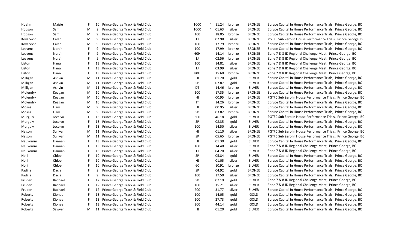| Hoehn     | Maisie   |   | 10 | Prince George Track & Field Club    | 1000 |                | 4 11.24 | bronze | <b>BRONZE</b> | Spruce Capital In House Performance Trials, Prince George, BC |
|-----------|----------|---|----|-------------------------------------|------|----------------|---------|--------|---------------|---------------------------------------------------------------|
| Hopson    | Sam      | M | 9  | Prince George Track & Field Club    | 1000 | $\overline{4}$ | 01.63   | silver | <b>BRONZE</b> | Spruce Capital In House Performance Trials, Prince George, BC |
| Hopson    | Sam      | M | 9  | Prince George Track & Field Club    | 100  |                | 18.05   | bronze | <b>BRONZE</b> | Spruce Capital In House Performance Trials, Prince George, BC |
| Kovacevic | Caleb    | M | 9  | Prince George Track & Field Club    | IJ   |                | 02.98   | silver | <b>BRONZE</b> | PGTFC Sub Zero In House Performance Trials, Prince George, BC |
| Kovacevic | Caleb    | M | 9  | Prince George Track & Field Club    | 100  |                | 17.79   | bronze | <b>BRONZE</b> | Spruce Capital In House Performance Trials, Prince George, BC |
| Leavens   | Norah    |   | 9  | Prince George Track & Field Club    | 100  |                | 17.99   | bronze | <b>BRONZE</b> | Spruce Capital In House Performance Trials, Prince George, BC |
| Leavens   | Norah    |   | 9  | Prince George Track & Field Club    | 60H  |                | 14.14   | bronze | <b>BRONZE</b> | Zone 7 & 8 JD Regional Challenge Meet, Prince George, BC      |
| Leavens   | Norah    |   | 9  | Prince George Track & Field Club    | IJ   |                | 02.56   | bronze | <b>BRONZE</b> | Zone 7 & 8 JD Regional Challenge Meet, Prince George, BC      |
| Liston    | Hana     |   | 13 | Prince George Track & Field Club    | 100  |                | 14.81   | silver | <b>BRONZE</b> | Zone 7 & 8 JD Regional Challenge Meet, Prince George, BC      |
| Liston    | Hana     |   | 13 | Prince George Track & Field Club    | IJ   |                | 03.99   | silver | <b>BRONZE</b> | Zone 7 & 8 JD Regional Challenge Meet, Prince George, BC      |
| Liston    | Hana     |   | 13 | Prince George Track & Field Club    | 80H  |                | 15.60   | bronze | <b>BRONZE</b> | Zone 7 & 8 JD Regional Challenge Meet, Prince George, BC      |
| Milligan  | Ashvin   | M |    | 11 Prince George Track & Field Club | HJ   |                | 01.20   | gold   | <b>SILVER</b> | Spruce Capital In House Performance Trials, Prince George, BC |
| Milligan  | Ashvin   | M |    | 11 Prince George Track & Field Club | SP   |                | 07.87   | gold   | <b>SILVER</b> | Spruce Capital In House Performance Trials, Prince George, BC |
| Milligan  | Ashvin   | M |    | 11 Prince George Track & Field Club | DT   |                | 14.46   | bronze | SILVER        | Spruce Capital In House Performance Trials, Prince George, BC |
| Molendyk  | Keagan   | М | 10 | Prince George Track & Field Club    | 100  |                | 17.35   | bronze | <b>BRONZE</b> | Spruce Capital In House Performance Trials, Prince George, BC |
| Molendyk  | Keagan   | М |    | 10 Prince George Track & Field Club | HJ   |                | 00.95   | bronze | <b>BRONZE</b> | PGTFC Sub Zero In House Performance Trials, Prince George, BC |
| Molendyk  | Keagan   | М |    | 10 Prince George Track & Field Club | JT   |                | 14.26   | bronze | <b>BRONZE</b> | Spruce Capital In House Performance Trials, Prince George, BC |
| Moses     | Liam     | M | 9  | Prince George Track & Field Club    | HJ   |                | 00.95   | silver | <b>BRONZE</b> | Spruce Capital In House Performance Trials, Prince George, BC |
| Moses     | Liam     | M | 9  | Prince George Track & Field Club    | SP   |                | 03.82   | bronze | <b>BRONZE</b> | Spruce Capital In House Performance Trials, Prince George, BC |
| Murguly   | Jocelyn  |   |    | 13 Prince George Track & Field Club | 300  |                | 46.18   | gold   | <b>SILVER</b> | PGTFC Sub Zero In House Performance Trials, Prince George, BC |
| Murguly   | Jocelyn  |   |    | 13 Prince George Track & Field Club | SP   |                | 08.35   | gold   | <b>SILVER</b> | Spruce Capital In House Performance Trials, Prince George, BC |
| Murguly   | Jocelyn  |   |    | 13 Prince George Track & Field Club | 100  |                | 14.50   | silver | <b>SILVER</b> | Spruce Capital In House Performance Trials, Prince George, BC |
| Nelson    | Sullivan | M |    | 11 Prince George Track & Field Club | HJ   |                | 01.10   | silver | <b>BRONZE</b> | PGTFC Sub Zero In House Performance Trials, Prince George, BC |
| Nelson    | Sullivan | M |    | 11 Prince George Track & Field Club | SP   |                | 05.65   | bronze | <b>BRONZE</b> | PGTFC Sub Zero In House Performance Trials, Prince George, BC |
| Neukomm   | Hannah   |   |    | 13 Prince George Track & Field Club | HJ   |                | 01.30   | gold   | <b>SILVER</b> | Spruce Capital In House Performance Trials, Prince George, BC |
| Neukomm   | Hannah   |   |    | 13 Prince George Track & Field Club | 100  |                | 14.40   | silver | <b>SILVER</b> | Zone 7 & 8 JD Regional Challenge Meet, Prince George, BC      |
| Neukomm   | Hannah   |   | 13 | Prince George Track & Field Club    | IJ   |                | 04.20   | silver | <b>SILVER</b> | Zone 7 & 8 JD Regional Challenge Meet, Prince George, BC      |
| Nolli     | Chloe    |   | 10 | Prince George Track & Field Club    | SP   |                | 05.84   | gold   | SILVER        | Spruce Capital In House Performance Trials, Prince George, BC |
| Nolli     | Chloe    |   | 10 | Prince George Track & Field Club    | HJ   |                | 01.05   | silver | SILVER        | Spruce Capital In House Performance Trials, Prince George, BC |
| Nolli     | Chloe    |   |    | 10 Prince George Track & Field Club | 60   |                | 10.91   | bronze | <b>SILVER</b> | Spruce Capital In House Performance Trials, Prince George, BC |
| Padilla   | Dacia    |   | 9  | Prince George Track & Field Club    | SP   |                | 04.92   | gold   | <b>BRONZE</b> | Spruce Capital In House Performance Trials, Prince George, BC |
| Padilla   | Dacia    |   | 9  | Prince George Track & Field Club    | 100  |                | 17.50   | silver | <b>BRONZE</b> | Spruce Capital In House Performance Trials, Prince George, BC |
| Pruden    | Rachael  |   |    | 12 Prince George Track & Field Club | SP   |                | 07.19   | gold   | <b>SILVER</b> | Zone 7 & 8 JD Regional Challenge Meet, Prince George, BC      |
| Pruden    | Rachael  |   |    | 12 Prince George Track & Field Club | 100  |                | 15.21   | silver | <b>SILVER</b> | Zone 7 & 8 JD Regional Challenge Meet, Prince George, BC      |
| Pruden    | Rachael  |   |    | 12 Prince George Track & Field Club | 200  |                | 31.77   | silver | SILVER        | Spruce Capital In House Performance Trials, Prince George, BC |
| Roberts   | Kionae   |   |    | 13 Prince George Track & Field Club | 100  |                | 14.05   | gold   | GOLD          | Spruce Capital In House Performance Trials, Prince George, BC |
| Roberts   | Kionae   |   | 13 | Prince George Track & Field Club    | 200  |                | 27.73   | gold   | GOLD          | Spruce Capital In House Performance Trials, Prince George, BC |
| Roberts   | Kionae   |   |    | 13 Prince George Track & Field Club | 300  |                | 44.14   | gold   | GOLD          | Spruce Capital In House Performance Trials, Prince George, BC |
| Roberts   | Sawyer   | M |    | 11 Prince George Track & Field Club | HJ   |                | 01.20   | gold   | <b>SILVER</b> | Spruce Capital In House Performance Trials, Prince George, BC |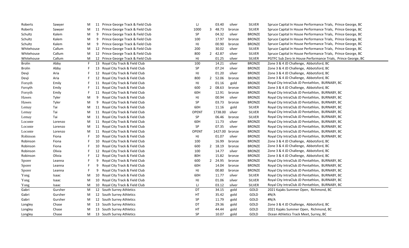| Roberts       | Sawyer  | M | 11 Prince George Track & Field Club   | IJ           |   | 03.40   | silver | SILVER        | Spruce Capital In House Performance Trials, Prince George, BC |
|---------------|---------|---|---------------------------------------|--------------|---|---------|--------|---------------|---------------------------------------------------------------|
| Roberts       | Sawyer  | M | 11 Prince George Track & Field Club   | 1000         | 3 | 48.73   | bronze | <b>SILVER</b> | Spruce Capital In House Performance Trials, Prince George, BC |
| Schultz       | Kalem   | M | 9 Prince George Track & Field Club    | SP           |   | 04.32   | silver | <b>BRONZE</b> | Spruce Capital In House Performance Trials, Prince George, BC |
| Schultz       | Kalem   | M | 9<br>Prince George Track & Field Club | 100          |   | 17.97   | bronze | <b>BRONZE</b> | Spruce Capital In House Performance Trials, Prince George, BC |
| Schultz       | Kalem   | M | Prince George Track & Field Club<br>9 | HJ           |   | 00.90   | bronze | <b>BRONZE</b> | Spruce Capital In House Performance Trials, Prince George, BC |
| Whitehouse    | Callum  | M | 12 Prince George Track & Field Club   | 200          |   | 30.02   | silver | <b>SILVER</b> | Spruce Capital In House Performance Trials, Prince George, BC |
| Whitehouse    | Callum  | M | 12 Prince George Track & Field Club   | 800          |   | 2 42.87 | silver | SILVER        | Spruce Capital In House Performance Trials, Prince George, BC |
| Whitehouse    | Callum  | M | 12 Prince George Track & Field Club   | HJ           |   | 01.25   | silver | <b>SILVER</b> | PGTFC Sub Zero In House Performance Trials, Prince George, BC |
| Brolin        | Abby    | F | Royal City Track & Field Club<br>13   | 100          |   | 14.21   | silver | <b>BRONZE</b> | Zone 3 & 4 JD Challenge, Abbotsford, BC                       |
| <b>Brolin</b> | Abby    |   | Royal City Track & Field Club<br>13   | SP           |   | 07.24   | silver | <b>BRONZE</b> | Zone 3 & 4 JD Challenge, Abbotsford, BC                       |
| Devji         | Aria    |   | 12 Royal City Track & Field Club      | HJ           |   | 01.20   | silver | <b>BRONZE</b> | Zone 3 & 4 JD Challenge, Abbotsford, BC                       |
| Devji         | Aria    |   | 12 Royal City Track & Field Club      | 800          |   | 2 52.06 | bronze | <b>BRONZE</b> | Zone 3 & 4 JD Challenge, Abbotsford, BC                       |
| Forsyth       | Emily   |   | 11 Royal City Track & Field Club      | HJ           |   | 01.16   | gold   | <b>BRONZE</b> | Royal City IntraClub JD Pentathlon, BURNABY, BC               |
| Forsyth       | Emily   |   | 11 Royal City Track & Field Club      | 600          |   | 2 08.63 | bronze | <b>BRONZE</b> | Zone 3 & 4 JD Challenge, Abbotsford, BC                       |
| Forsyth       | Emily   |   | Royal City Track & Field Club<br>11   | 60H          |   | 12.91   | bronze | <b>BRONZE</b> | Royal City IntraClub JD Pentathlon, BURNABY, BC               |
| Hawes         | Tyler   | M | Royal City Track & Field Club<br>9    | HJ           |   | 00.94   | silver | <b>BRONZE</b> | Royal City IntraClub JD Pentathlon, BURNABY, BC               |
| Hawes         | Tyler   | M | 9<br>Royal City Track & Field Club    | <b>SP</b>    |   | 03.73   | bronze | <b>BRONZE</b> | Royal City IntraClub JD Pentathlon, BURNABY, BC               |
| Lemay         | Tai     | M | 11 Royal City Track & Field Club      | 60H          |   | 11.16   | gold   | SILVER        | Royal City IntraClub JD Pentathlon, BURNABY, BC               |
| Lemay         | Tai     | M | 11 Royal City Track & Field Club      | <b>OPENT</b> |   | 1738.00 | silver | SILVER        | Royal City IntraClub JD Pentathlon, BURNABY, BC               |
| Lemay         | Tai     | M | 11 Royal City Track & Field Club      | SP           |   | 06.46   | bronze | SILVER        | Royal City IntraClub JD Pentathlon, BURNABY, BC               |
| Loconte       | Lorenzo | M | 11 Royal City Track & Field Club      | 60H          |   | 11.73   | silver | <b>BRONZE</b> | Royal City IntraClub JD Pentathlon, BURNABY, BC               |
| Loconte       | Lorenzo | M | 11 Royal City Track & Field Club      | SP           |   | 07.35   | silver | <b>BRONZE</b> | Royal City IntraClub JD Pentathlon, BURNABY, BC               |
| Loconte       | Lorenzo | M | 11 Royal City Track & Field Club      | <b>OPENT</b> |   | 1427.00 | bronze | <b>BRONZE</b> | Royal City IntraClub JD Pentathlon, BURNABY, BC               |
| Robinson      | Fiona   |   | 10 Royal City Track & Field Club      | HJ           |   | 01.07   | silver | <b>BRONZE</b> | Royal City IntraClub JD Pentathlon, BURNABY, BC               |
| Robinson      | Fiona   |   | Royal City Track & Field Club<br>10   | 100          |   | 16.99   | bronze | <b>BRONZE</b> | Zone 3 & 4 JD Challenge, Abbotsford, BC                       |
| Robinson      | Fiona   |   | Royal City Track & Field Club<br>10   | 600          |   | 2 18.19 | bronze | <b>BRONZE</b> | Zone 3 & 4 JD Challenge, Abbotsford, BC                       |
| Robinson      | Olivia  |   | 12 Royal City Track & Field Club      | 100          |   | 14.77   | silver | <b>BRONZE</b> | Zone 3 & 4 JD Challenge, Abbotsford, BC                       |
| Robinson      | Olivia  |   | 12 Royal City Track & Field Club      | 80H          |   | 15.82   | bronze | <b>BRONZE</b> | Zone 3 & 4 JD Challenge, Abbotsford, BC                       |
| Sporer        | Leanna  |   | 9<br>Royal City Track & Field Club    | 600          |   | 2 24.95 | bronze | <b>BRONZE</b> | Royal City IntraClub JD Pentathlon, BURNABY, BC               |
| Sporer        | Leanna  |   | 9<br>Royal City Track & Field Club    | 60H          |   | 14.04   | bronze | <b>BRONZE</b> | Royal City IntraClub JD Pentathlon, BURNABY, BC               |
| Sporer        | Leanna  |   | Royal City Track & Field Club<br>9    | HJ           |   | 00.80   | bronze | <b>BRONZE</b> | Royal City IntraClub JD Pentathlon, BURNABY, BC               |
| Yong          | Isaac   | M | 10<br>Royal City Track & Field Club   | 60H          |   | 11.77   | silver | SILVER        | Royal City IntraClub JD Pentathlon, BURNABY, BC               |
| Yong          | Isaac   | M | 10 Royal City Track & Field Club      | HJ           |   | 01.06   | silver | SILVER        | Royal City IntraClub JD Pentathlon, BURNABY, BC               |
| Yong          | Isaac   | M | 10 Royal City Track & Field Club      | IJ           |   | 03.12   | silver | <b>SILVER</b> | Royal City IntraClub JD Pentathlon, BURNABY, BC               |
| Gabri         | Gursher | M | 12 South Surrey Athletics             | DT           |   | 34.15   | gold   | GOLD          | 2021 Kajaks Summer Open, Richmond, BC                         |
| Gabri         | Gursher | M | 12 South Surrey Athletics             | HT           |   | 35.42   | gold   | GOLD          | #N/A                                                          |
| Gabri         | Gursher | M | 12 South Surrey Athletics             | <b>SP</b>    |   | 11.79   | gold   | GOLD          | #N/A                                                          |
| Longley       | Chase   | M | 13 South Surrey Athletics             | DT           |   | 29.36   | gold   | GOLD          | Zone 3 & 4 JD Challenge, Abbotsford, BC                       |
| Longley       | Chase   | M | 13 South Surrey Athletics             | HT           |   | 44.44   | gold   | GOLD          | 2021 Kajaks Summer Open, Richmond, BC                         |
| Longley       | Chase   | M | 13 South Surrey Athletics             | SP           |   | 10.07   | gold   | GOLD          | Ocean Athletics Track Meet, Surrey, BC                        |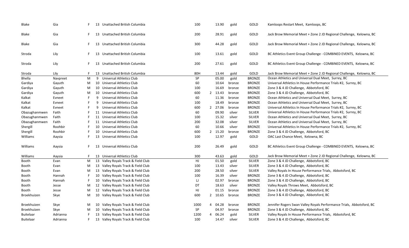| Blake            | Gia      |    |    | 13 Unattached British Columbia      | 100  |                | 13.90   | gold   | GOLD          | Kamloops Restart Meet, Kamloops, BC                                   |
|------------------|----------|----|----|-------------------------------------|------|----------------|---------|--------|---------------|-----------------------------------------------------------------------|
| Blake            | Gia      | F. | 13 | Unattached British Columbia         | 200  |                | 28.91   | gold   | GOLD          | Jack Brow Memorial Meet + Zone 2 JD Regional Challenge, Kelowna, BC   |
| Blake            | Gia      | F  |    | 13 Unattached British Columbia      | 300  |                | 44.28   | gold   | GOLD          | Jack Brow Memorial Meet + Zone 2 JD Regional Challenge, Kelowna, BC   |
| Stroda           | Lily     | F  |    | 13 Unattached British Columbia      | 100  |                | 13.61   | gold   | GOLD          | BC Athletics Event Group Challenge - COMBINED EVENTS, Kelowna, BC     |
| Stroda           | Lily     | F. |    | 13 Unattached British Columbia      | 200  |                | 27.61   | gold   | GOLD          | BC Athletics Event Group Challenge - COMBINED EVENTS, Kelowna, BC     |
| Stroda           | Lily     | F. |    | 13 Unattached British Columbia      | 80H  |                | 13.44   | gold   | GOLD          | Jack Brow Memorial Meet + Zone 2 JD Regional Challenge, Kelowna, BC   |
| Bhella           | Navpreet | M  | 9  | Universal Athletics Club            | SP   |                | 05.00   | gold   | <b>BRONZE</b> | Ocean Athletics and Universal Dual Meet, Surrey, BC                   |
| Gardiya          | Gayuth   | М  |    | 10 Universal Athletics Club         | 60   |                | 10.64   | bronze | <b>BRONZE</b> | Universal Athletics In House Performance Trials #2, Surrey, BC        |
| Gardiya          | Gayuth   | М  |    | 10 Universal Athletics Club         | 100  |                | 16.69   | bronze | <b>BRONZE</b> | Zone 3 & 4 JD Challenge, Abbotsford, BC                               |
| Gardiya          | Gayuth   | М  |    | 10 Universal Athletics Club         | 600  |                | 2 13.43 | bronze | <b>BRONZE</b> | Zone 3 & 4 JD Challenge, Abbotsford, BC                               |
| Kalkat           | Evneet   | F  | 9  | Universal Athletics Club            | 60   |                | 11.36   | bronze | <b>BRONZE</b> | Ocean Athletics and Universal Dual Meet, Surrey, BC                   |
| Kalkat           | Evneet   | F. | 9  | Universal Athletics Club            | 100  |                | 18.49   | bronze | <b>BRONZE</b> | Ocean Athletics and Universal Dual Meet, Surrey, BC                   |
| Kalkat           | Evneet   | F  | 9  | <b>Universal Athletics Club</b>     | 600  |                | 2 27.06 | bronze | <b>BRONZE</b> | Universal Athletics In House Performance Trials #2, Surrey, BC        |
| Obazughanmwen    | Faith    |    |    | 11 Universal Athletics Club         | 60   |                | 09.90   | silver | <b>SILVER</b> | Universal Athletics In House Performance Trials #2, Surrey, BC        |
| Obazughanmwen    | Faith    |    |    | 11 Universal Athletics Club         | 100  |                | 15.32   | silver | <b>SILVER</b> | Ocean Athletics and Universal Dual Meet, Surrey, BC                   |
| Obazughanmwen    | Faith    |    |    | 11 Universal Athletics Club         | 200  |                | 32.08   | silver | <b>SILVER</b> | Ocean Athletics and Universal Dual Meet, Surrey, BC                   |
| Shergill         | Roohbir  |    |    | 10 Universal Athletics Club         | 60   |                | 10.66   | silver | <b>BRONZE</b> | Universal Athletics In House Performance Trials #2, Surrey, BC        |
| Shergill         | Roohbir  |    | 10 | Universal Athletics Club            | 600  |                | 2 15.20 | bronze | <b>BRONZE</b> | Zone 3 & 4 JD Challenge, Abbotsford, BC                               |
| Williams         | Aaysia   |    |    | 13 Universal Athletics Club         | 100  |                | 12.97   | gold   | GOLD          | OAC Last Chance Meet, Kelowna, BC                                     |
| Williams         | Aaysia   | F  |    | 13 Universal Athletics Club         | 200  |                | 26.49   | gold   | GOLD          | BC Athletics Event Group Challenge - COMBINED EVENTS, Kelowna, BC     |
| Williams         | Aaysia   | F  |    | 13 Universal Athletics Club         | 300  |                | 43.63   | gold   | GOLD          | Jack Brow Memorial Meet + Zone 2 JD Regional Challenge, Kelowna, BC   |
| Booth            | Evan     | M  |    | 13 Valley Royals Track & Field Club | HJ.  |                | 01.50   | gold   | <b>SILVER</b> | Zone 3 & 4 JD Challenge, Abbotsford, BC                               |
| Booth            | Evan     | М  |    | 13 Valley Royals Track & Field Club | 100  |                | 13.43   | silver | <b>SILVER</b> | Zone 3 & 4 JD Challenge, Abbotsford, BC                               |
| Booth            | Evan     | М  |    | 13 Valley Royals Track & Field Club | 200  |                | 28.50   | silver | <b>SILVER</b> | Valley Royals In House Performance Trials, Abbotsford, BC             |
| Booth            | Hannah   |    |    | 10 Valley Royals Track & Field Club | 100  |                | 16.39   | silver | <b>BRONZE</b> | Zone 3 & 4 JD Challenge, Abbotsford, BC                               |
| Booth            | Hannah   |    |    | 10 Valley Royals Track & Field Club | IJ   |                | 02.97   | bronze | <b>BRONZE</b> | Zone 3 & 4 JD Challenge, Abbotsford, BC                               |
| Booth            | Jesse    | М  |    | 12 Valley Royals Track & Field Club | DT   |                | 18.63   | silver | <b>BRONZE</b> | Valley Royals Throws Meet, Abbotsford, BC                             |
| Booth            | Jesse    | м  |    | 12 Valley Royals Track & Field Club | HJ   |                | 01.15   | bronze | <b>BRONZE</b> | Zone 3 & 4 JD Challenge, Abbotsford, BC                               |
| Broekhuizen      | Skye     | М  |    | 10 Valley Royals Track & Field Club | 600  |                | 2 10.65 | bronze | <b>BRONZE</b> | Zone 3 & 4 JD Challenge, Abbotsford, BC                               |
| Broekhuizen      | Skye     | М  |    | 10 Valley Royals Track & Field Club | 1000 |                | 4 04.28 | bronze | <b>BRONZE</b> | Jennifer Rogers Swan Valley Royals Performance Trials, Abbotsford, BC |
| Broekhuizen      | Skye     | М  |    | 10 Valley Royals Track & Field Club | SP   |                | 04.97   | bronze | <b>BRONZE</b> | Zone 3 & 4 JD Challenge, Abbotsford, BC                               |
| Buitelaar        | Adrianna |    |    | 13 Valley Royals Track & Field Club | 1200 | $\overline{4}$ | 06.24   | gold   | <b>SILVER</b> | Valley Royals In House Performance Trials, Abbotsford, BC             |
| <b>Buitelaar</b> | Adrianna | F  |    | 13 Valley Royals Track & Field Club | 100  |                | 14.47   | silver | <b>SILVER</b> | Zone 3 & 4 JD Challenge, Abbotsford, BC                               |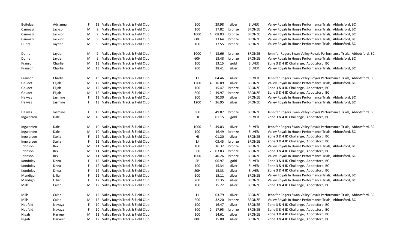| <b>Buitelaar</b> | Adrianna |   | 13 | Valley Royals Track & Field Club    | 200  |   | 29.98   | silver | SILVER        | Valley Royals In House Performance Trials, Abbotsford, BC             |
|------------------|----------|---|----|-------------------------------------|------|---|---------|--------|---------------|-----------------------------------------------------------------------|
| Camozzi          | Jackson  | M | 9  | Valley Royals Track & Field Club    | 100  |   | 17.82   | bronze | <b>BRONZE</b> | Valley Royals In House Performance Trials, Abbotsford, BC             |
| Camozzi          | Jackson  | M | 9  | Valley Royals Track & Field Club    | 1000 | 4 | 08.03   | bronze | <b>BRONZE</b> | Valley Royals In House Performance Trials, Abbotsford, BC             |
| Camozzi          | Jackson  | M | 9  | Valley Royals Track & Field Club    | 60H  |   | 13.64   | bronze | <b>BRONZE</b> | Valley Royals In House Performance Trials, Abbotsford, BC             |
| Duhra            | Jayden   | M | 9  | Valley Royals Track & Field Club    | 100  |   | 17.55   | bronze | <b>BRONZE</b> | Valley Royals In House Performance Trials, Abbotsford, BC             |
| Duhra            | Jayden   | M | 9  | Valley Royals Track & Field Club    | 1000 | 4 | 13.66   | bronze | <b>BRONZE</b> | Jennifer Rogers Swan Valley Royals Performance Trials, Abbotsford, BC |
| Duhra            | Jayden   | M | 9  | Valley Royals Track & Field Club    | 60H  |   | 13.48   | bronze | <b>BRONZE</b> | Valley Royals In House Performance Trials, Abbotsford, BC             |
| Franson          | Charlie  | M |    | 13 Valley Royals Track & Field Club | 100  |   | 13.15   | gold   | SILVER        | Zone 3 & 4 JD Challenge, Abbotsford, BC                               |
| Franson          | Charlie  | M | 13 | Valley Royals Track & Field Club    | 200  |   | 28.41   | silver | <b>SILVER</b> | Valley Royals In House Performance Trials, Abbotsford, BC             |
| Franson          | Charlie  | M |    | 13 Valley Royals Track & Field Club | IJ   |   | 04.46   | silver | SILVER        | Jennifer Rogers Swan Valley Royals Performance Trials, Abbotsford, BC |
| Gaudet           | Elijah   | M |    | 12 Valley Royals Track & Field Club | 1200 |   | 4 16.09 | silver | <b>BRONZE</b> | Valley Royals In House Performance Trials, Abbotsford, BC             |
| Gaudet           | Elijah   | M |    | 12 Valley Royals Track & Field Club | 100  |   | 15.47   | bronze | <b>BRONZE</b> | Zone 3 & 4 JD Challenge, Abbotsford, BC                               |
| Gaudet           | Elijah   | M |    | 12 Valley Royals Track & Field Club | 800  |   | 2 49.97 | bronze | <b>BRONZE</b> | Zone 3 & 4 JD Challenge, Abbotsford, BC                               |
| Halwas           | Jasmine  |   | 13 | Valley Royals Track & Field Club    | 200  |   | 30.30   | silver | <b>BRONZE</b> | Valley Royals In House Performance Trials, Abbotsford, BC             |
| Halwas           | Jasmine  |   | 13 | Valley Royals Track & Field Club    | 1200 |   | 4 26.95 | silver | <b>BRONZE</b> | Valley Royals In House Performance Trials, Abbotsford, BC             |
| Halwas           | Jasmine  |   | 13 | Valley Royals Track & Field Club    | 300  |   | 49.87   | bronze | <b>BRONZE</b> | Jennifer Rogers Swan Valley Royals Performance Trials, Abbotsford, BC |
| Ingwersen        | Dale     | M | 10 | Valley Royals Track & Field Club    | HJ   |   | 01.15   | gold   | <b>SILVER</b> | Zone 3 & 4 JD Challenge, Abbotsford, BC                               |
| Ingwersen        | Dale     | M |    | 10 Valley Royals Track & Field Club | 1000 | 3 | 49.03   | silver | SILVER        | Jennifer Rogers Swan Valley Royals Performance Trials, Abbotsford, BC |
| Ingwersen        | Dale     | M | 10 | Valley Royals Track & Field Club    | 100  |   | 16.49   | bronze | SILVER        | Valley Royals In House Performance Trials, Abbotsford, BC             |
| Ingwersen        | Stella   |   |    | 12 Valley Royals Track & Field Club | HJ   |   | 01.20   | silver | <b>BRONZE</b> | Zone 3 & 4 JD Challenge, Abbotsford, BC                               |
| Ingwersen        | Stella   |   |    | 12 Valley Royals Track & Field Club | U    |   | 03.45   | bronze | <b>BRONZE</b> | Zone 3 & 4 JD Challenge, Abbotsford, BC                               |
| Johnson          | Rex      | M |    | 11 Valley Royals Track & Field Club | 100  |   | 16.32   | bronze | <b>BRONZE</b> | Valley Royals In House Performance Trials, Abbotsford, BC             |
| Johnson          | Rex      | M |    | 11 Valley Royals Track & Field Club | 600  |   | 2 03.83 | bronze | <b>BRONZE</b> | Zone 3 & 4 JD Challenge, Abbotsford, BC                               |
| Johnson          | Rex      | M |    | 11 Valley Royals Track & Field Club | 1000 | 3 | 40.26   | bronze | <b>BRONZE</b> | Valley Royals In House Performance Trials, Abbotsford, BC             |
| Kondolay         | Dhea     |   |    | 12 Valley Royals Track & Field Club | SP   |   | 06.97   | gold   | SILVER        | Zone 3 & 4 JD Challenge, Abbotsford, BC                               |
| Kondolay         | Dhea     |   |    | 12 Valley Royals Track & Field Club | 100  |   | 15.34   | silver | SILVER        | Zone 3 & 4 JD Challenge, Abbotsford, BC                               |
| Kondolay         | Dhea     |   |    | 12 Valley Royals Track & Field Club | 80H  |   | 15.33   | silver | <b>SILVER</b> | Zone 3 & 4 JD Challenge, Abbotsford, BC                               |
| Mandigo          | Lillian  |   |    | 12 Valley Royals Track & Field Club | 100  |   | 15.11   | silver | <b>BRONZE</b> | Valley Royals In House Performance Trials, Abbotsford, BC             |
| Mandigo          | Lillian  |   |    | 12 Valley Royals Track & Field Club | 200  |   | 31.35   | silver | <b>BRONZE</b> | Valley Royals In House Performance Trials, Abbotsford, BC             |
| Mills            | Caleb    | М |    | 12 Valley Royals Track & Field Club | 100  |   | 15.22   | silver | <b>BRONZE</b> | Zone 3 & 4 JD Challenge, Abbotsford, BC                               |
| Mills            | Caleb    | M | 12 | Valley Royals Track & Field Club    | IJ   |   | 03.79   | silver | <b>BRONZE</b> | Jennifer Rogers Swan Valley Royals Performance Trials, Abbotsford, BC |
| Mills            | Caleb    | M |    | 12 Valley Royals Track & Field Club | 200  |   | 32.20   | bronze | <b>BRONZE</b> | Valley Royals In House Performance Trials, Abbotsford, BC             |
| Neufeld          | Nevaya   |   |    | 10 Valley Royals Track & Field Club | 100  |   | 16.47   | silver | <b>BRONZE</b> | Zone 3 & 4 JD Challenge, Abbotsford, BC                               |
| Neufeld          | Nevaya   |   | 10 | Valley Royals Track & Field Club    | 600  |   | 2 17.95 | bronze | <b>BRONZE</b> | Zone 3 & 4 JD Challenge, Abbotsford, BC                               |
| Nigah            | Harveer  | M | 12 | Valley Royals Track & Field Club    | 100  |   | 14.61   | silver | <b>BRONZE</b> | Zone 3 & 4 JD Challenge, Abbotsford, BC                               |
| Nigah            | Harveer  | M |    | 12 Valley Royals Track & Field Club | 80H  |   | 15.00   | silver | <b>BRONZE</b> | Zone 3 & 4 JD Challenge, Abbotsford, BC                               |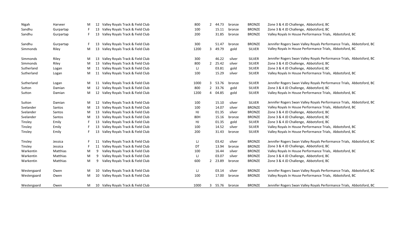| Nigah       | Harveer   | M |    | 12 Valley Royals Track & Field Club | 800  | $\mathbf{2}^{\prime}$ | 44.73   | bronze | <b>BRONZE</b> | Zone 3 & 4 JD Challenge, Abbotsford, BC                               |
|-------------|-----------|---|----|-------------------------------------|------|-----------------------|---------|--------|---------------|-----------------------------------------------------------------------|
| Sandhu      | Gurpartap |   | 13 | Valley Royals Track & Field Club    | 100  |                       | 15.11   | bronze | <b>BRONZE</b> | Zone 3 & 4 JD Challenge, Abbotsford, BC                               |
| Sandhu      | Gurpartap |   | 13 | Valley Royals Track & Field Club    | 200  |                       | 31.85   | bronze | <b>BRONZE</b> | Valley Royals In House Performance Trials, Abbotsford, BC             |
| Sandhu      | Gurpartap |   | 13 | Valley Royals Track & Field Club    | 300  |                       | 51.47   | bronze | <b>BRONZE</b> | Jennifer Rogers Swan Valley Royals Performance Trials, Abbotsford, BC |
| Simmonds    | Riley     | M | 13 | Valley Royals Track & Field Club    | 1200 |                       | 3 49.79 | gold   | <b>SILVER</b> | Valley Royals In House Performance Trials, Abbotsford, BC             |
| Simmonds    | Riley     | M | 13 | Valley Royals Track & Field Club    | 300  |                       | 46.22   | silver | <b>SILVER</b> | Jennifer Rogers Swan Valley Royals Performance Trials, Abbotsford, BC |
| Simmonds    | Riley     | M | 13 | Valley Royals Track & Field Club    | 800  |                       | 2 25.42 | silver | <b>SILVER</b> | Zone 3 & 4 JD Challenge, Abbotsford, BC                               |
| Sutherland  | Logan     | M |    | 11 Valley Royals Track & Field Club | IJ   |                       | 03.81   | gold   | <b>SILVER</b> | Zone 3 & 4 JD Challenge, Abbotsford, BC                               |
| Sutherland  | Logan     | M |    | 11 Valley Royals Track & Field Club | 100  |                       | 15.29   | silver | <b>SILVER</b> | Valley Royals In House Performance Trials, Abbotsford, BC             |
| Sutherland  | Logan     | M |    | 11 Valley Royals Track & Field Club | 1000 |                       | 3 53.76 | bronze | <b>SILVER</b> | Jennifer Rogers Swan Valley Royals Performance Trials, Abbotsford, BC |
| Sutton      | Damian    | M | 12 | Valley Royals Track & Field Club    | 800  |                       | 2 33.76 | gold   | <b>SILVER</b> | Zone 3 & 4 JD Challenge, Abbotsford, BC                               |
| Sutton      | Damian    | M | 12 | Valley Royals Track & Field Club    | 1200 |                       | 4 04.85 | gold   | <b>SILVER</b> | Valley Royals In House Performance Trials, Abbotsford, BC             |
| Sutton      | Damian    | M | 12 | Valley Royals Track & Field Club    | 100  |                       | 15.10   | silver | <b>SILVER</b> | Jennifer Rogers Swan Valley Royals Performance Trials, Abbotsford, BC |
| Svelander   | Santos    | M | 13 | Valley Royals Track & Field Club    | 100  |                       | 14.07   | silver | <b>BRONZE</b> | Valley Royals In House Performance Trials, Abbotsford, BC             |
| Svelander   | Santos    | M | 13 | Valley Royals Track & Field Club    | HJ   |                       | 01.35   | silver | <b>BRONZE</b> | Zone 3 & 4 JD Challenge, Abbotsford, BC                               |
| Svelander   | Santos    | M | 13 | Valley Royals Track & Field Club    | 80H  |                       | 15.16   | bronze | <b>BRONZE</b> | Zone 3 & 4 JD Challenge, Abbotsford, BC                               |
| Tinsley     | Emily     |   | 13 | Valley Royals Track & Field Club    | HJ.  |                       | 01.35   | gold   | <b>SILVER</b> | Zone 3 & 4 JD Challenge, Abbotsford, BC                               |
| Tinsley     | Emily     |   | 13 | Valley Royals Track & Field Club    | 100  |                       | 14.52   | silver | <b>SILVER</b> | Valley Royals In House Performance Trials, Abbotsford, BC             |
| Tinsley     | Emily     |   |    | Valley Royals Track & Field Club    | 200  |                       | 31.43   | bronze | <b>SILVER</b> | Valley Royals In House Performance Trials, Abbotsford, BC             |
| Tinsley     | Jessica   |   |    | Valley Royals Track & Field Club    | IJ   |                       | 03.42   | silver | <b>BRONZE</b> | Jennifer Rogers Swan Valley Royals Performance Trials, Abbotsford, BC |
| Tinsley     | Jessica   |   | 11 | Valley Royals Track & Field Club    | DT   |                       | 13.94   | bronze | <b>BRONZE</b> | Zone 3 & 4 JD Challenge, Abbotsford, BC                               |
| Warkentin   | Matthias  | M | 9  | Valley Royals Track & Field Club    | 100  |                       | 16.44   | silver | <b>BRONZE</b> | Valley Royals In House Performance Trials, Abbotsford, BC             |
| Warkentin   | Matthias  | M | 9  | Valley Royals Track & Field Club    | IJ   |                       | 03.07   | silver | <b>BRONZE</b> | Zone 3 & 4 JD Challenge, Abbotsford, BC                               |
| Warkentin   | Matthias  | M | 9  | Valley Royals Track & Field Club    | 600  |                       | 2 23.89 | bronze | <b>BRONZE</b> | Zone 3 & 4 JD Challenge, Abbotsford, BC                               |
| Westergaard | Owen      | M | 10 | Valley Royals Track & Field Club    | IJ   |                       | 03.14   | silver | <b>BRONZE</b> | Jennifer Rogers Swan Valley Royals Performance Trials, Abbotsford, BC |
| Westergaard | Owen      | M | 10 | Valley Royals Track & Field Club    | 100  |                       | 17.00   | bronze | <b>BRONZE</b> | Valley Royals In House Performance Trials, Abbotsford, BC             |
| Westergaard | Owen      | M |    | 10 Valley Royals Track & Field Club | 1000 |                       | 3 55.76 | bronze | <b>BRONZE</b> | Jennifer Rogers Swan Valley Royals Performance Trials, Abbotsford, BC |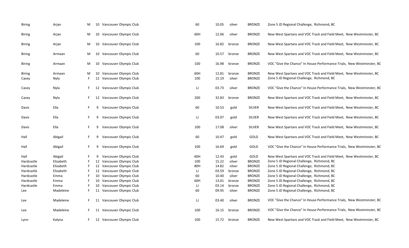| <b>Biring</b>   | Arjan          | M  | 10       | Vancouver Olympic Club                           | 60         | 10.05          | silver           | <b>BRONZE</b>                  | Zone 5 JD Regional Challenge, Richmond, BC                                                                        |
|-----------------|----------------|----|----------|--------------------------------------------------|------------|----------------|------------------|--------------------------------|-------------------------------------------------------------------------------------------------------------------|
| Biring          | Arjan          | M  | 10       | Vancouver Olympic Club                           | 60H        | 12.06          | silver           | <b>BRONZE</b>                  | New West Spartans and VOC Track and Field Meet, New Westminster, BC                                               |
| Biring          | Arjan          | M  |          | 10 Vancouver Olympic Club                        | 100        | 16.82          | bronze           | <b>BRONZE</b>                  | New West Spartans and VOC Track and Field Meet, New Westminster, BC                                               |
| Biring          | Armaan         | M  |          | 10 Vancouver Olympic Club                        | 60         | 10.57          | bronze           | <b>BRONZE</b>                  | New West Spartans and VOC Track and Field Meet, New Westminster, BC                                               |
| Biring          | Armaan         | M  | 10       | Vancouver Olympic Club                           | 100        | 16.98          | bronze           | <b>BRONZE</b>                  | VOC "Give the Chance" In House Performance Trials, New Westminster, BC                                            |
| Biring<br>Casey | Armaan<br>Nyla | M  | 10<br>12 | Vancouver Olympic Club<br>Vancouver Olympic Club | 60H<br>100 | 12.81<br>15.19 | bronze<br>silver | <b>BRONZE</b><br><b>BRONZE</b> | New West Spartans and VOC Track and Field Meet, New Westminster, BC<br>Zone 5 JD Regional Challenge, Richmond, BC |
| Casey           | Nyla           |    | 12       | Vancouver Olympic Club                           | IJ         | 03.73          | silver           | <b>BRONZE</b>                  | VOC "Give the Chance" In House Performance Trials, New Westminster, BC                                            |
| Casey           | Nyla           |    | 12       | Vancouver Olympic Club                           | 200        | 32.83          | bronze           | <b>BRONZE</b>                  | New West Spartans and VOC Track and Field Meet, New Westminster, BC                                               |
| Davis           | Ella           |    | 9        | Vancouver Olympic Club                           | 60         | 10.53          | gold             | SILVER                         | New West Spartans and VOC Track and Field Meet, New Westminster, BC                                               |
| Davis           | Ella           |    | 9        | Vancouver Olympic Club                           | IJ         | 03.07          | gold             | SILVER                         | New West Spartans and VOC Track and Field Meet, New Westminster, BC                                               |
| Davis           | Ella           | F. | 9        | Vancouver Olympic Club                           | 100        | 17.08          | silver           | SILVER                         | New West Spartans and VOC Track and Field Meet, New Westminster, BC                                               |
| Hall            | Abigail        |    | 9        | Vancouver Olympic Club                           | 60         | 10.47          | gold             | GOLD                           | New West Spartans and VOC Track and Field Meet, New Westminster, BC                                               |
| Hall            | Abigail        | F. | 9        | Vancouver Olympic Club                           | 100        | 16.69          | gold             | GOLD                           | VOC "Give the Chance" In House Performance Trials, New Westminster, BC                                            |
| Hall            | Abigail        |    | 9        | Vancouver Olympic Club                           | 60H        | 12.43          | gold             | GOLD                           | New West Spartans and VOC Track and Field Meet, New Westminster, BC                                               |
| Hardcastle      | Elizabeth      |    | 12       | Vancouver Olympic Club                           | 100        | 15.22          | silver           | <b>BRONZE</b>                  | Zone 5 JD Regional Challenge, Richmond, BC                                                                        |
| Hardcastle      | Elizabeth      |    | 12       | Vancouver Olympic Club                           | 80H        | 14.82          | silver           | <b>BRONZE</b>                  | Zone 5 JD Regional Challenge, Richmond, BC                                                                        |
| Hardcastle      | Elizabeth      |    |          | 12 Vancouver Olympic Club                        | IJ         | 03.59          | bronze           | <b>BRONZE</b>                  | Zone 5 JD Regional Challenge, Richmond, BC                                                                        |
| Hardcastle      | Emma           |    |          | 10 Vancouver Olympic Club                        | 60         | 10.40          | silver           | <b>BRONZE</b>                  | Zone 5 JD Regional Challenge, Richmond, BC                                                                        |
| Hardcastle      | Emma           |    | 10       | Vancouver Olympic Club                           | 60H        | 13.01          | bronze           | <b>BRONZE</b>                  | Zone 5 JD Regional Challenge, Richmond, BC                                                                        |
| Hardcastle      | Emma           |    | 10       | Vancouver Olympic Club                           | IJ         | 03.14          | bronze           | <b>BRONZE</b>                  | Zone 5 JD Regional Challenge, Richmond, BC                                                                        |
| Lee             | Madeleine      |    | 11       | Vancouver Olympic Club                           | 60         | 09.95          | silver           | <b>BRONZE</b>                  | Zone 5 JD Regional Challenge, Richmond, BC                                                                        |
| Lee             | Madeleine      | F. |          | 11 Vancouver Olympic Club                        | IJ         | 03.40          | silver           | <b>BRONZE</b>                  | VOC "Give the Chance" In House Performance Trials, New Westminster, BC                                            |
| Lee             | Madeleine      |    | -11      | Vancouver Olympic Club                           | 100        | 16.15          | bronze           | <b>BRONZE</b>                  | VOC "Give the Chance" In House Performance Trials, New Westminster, BC                                            |
| Lynn            | Kalyna         |    |          | 12 Vancouver Olympic Club                        | 100        | 15.72          | bronze           | <b>BRONZE</b>                  | New West Spartans and VOC Track and Field Meet, New Westminster, BC                                               |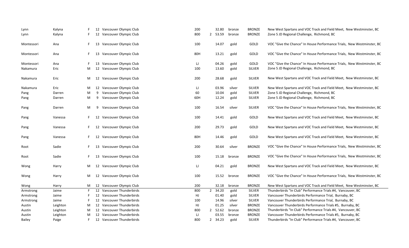| Lynn       | Kalyna   |   | 12 Vancouver Olympic Club    | 200 | 32.80                | bronze | <b>BRONZE</b> | New West Spartans and VOC Track and Field Meet, New Westminster, BC    |
|------------|----------|---|------------------------------|-----|----------------------|--------|---------------|------------------------------------------------------------------------|
| Lynn       | Kalyna   |   | 12<br>Vancouver Olympic Club | 800 | 2 53.59              | bronze | <b>BRONZE</b> | Zone 5 JD Regional Challenge, Richmond, BC                             |
|            |          |   |                              |     |                      |        |               |                                                                        |
| Montessori | Ana      |   | Vancouver Olympic Club<br>13 | 100 | 14.07                | gold   | GOLD          | VOC "Give the Chance" In House Performance Trials, New Westminster, BC |
| Montessori | Ana      |   | Vancouver Olympic Club<br>13 | 80H | 13.21                | gold   | GOLD          | VOC "Give the Chance" In House Performance Trials, New Westminster, BC |
| Montessori | Ana      |   | Vancouver Olympic Club<br>13 | IJ  | 04.26                | gold   | GOLD          | VOC "Give the Chance" In House Performance Trials, New Westminster, BC |
| Nakamura   | Eric     | M | 12 Vancouver Olympic Club    | 100 | 13.60                | gold   | SILVER        | Zone 5 JD Regional Challenge, Richmond, BC                             |
| Nakamura   | Eric     | M | 12 Vancouver Olympic Club    | 200 | 28.68                | gold   | <b>SILVER</b> | New West Spartans and VOC Track and Field Meet, New Westminster, BC    |
| Nakamura   | Eric     | M | 12 Vancouver Olympic Club    | IJ  | 03.96                | silver | <b>SILVER</b> | New West Spartans and VOC Track and Field Meet, New Westminster, BC    |
| Pang       | Darren   | М | Vancouver Olympic Club<br>9  | 60  | 10.04                | gold   | <b>SILVER</b> | Zone 5 JD Regional Challenge, Richmond, BC                             |
| Pang       | Darren   | M | Vancouver Olympic Club<br>9  | 60H | 12.24                | gold   | SILVER        | Zone 5 JD Regional Challenge, Richmond, BC                             |
|            |          |   |                              |     |                      |        |               |                                                                        |
| Pang       | Darren   | M | Vancouver Olympic Club<br>9  | 100 | 16.54                | silver | <b>SILVER</b> | VOC "Give the Chance" In House Performance Trials, New Westminster, BC |
| Pang       | Vanessa  | F | Vancouver Olympic Club<br>12 | 100 | 14.41                | gold   | GOLD          | New West Spartans and VOC Track and Field Meet, New Westminster, BC    |
| Pang       | Vanessa  |   | Vancouver Olympic Club<br>12 | 200 | 29.73                | gold   | GOLD          | New West Spartans and VOC Track and Field Meet, New Westminster, BC    |
| Pang       | Vanessa  | F | Vancouver Olympic Club<br>12 | 80H | 14.46                | gold   | GOLD          | New West Spartans and VOC Track and Field Meet, New Westminster, BC    |
| Root       | Sadie    |   | Vancouver Olympic Club<br>13 | 200 | 30.64                | silver | <b>BRONZE</b> | VOC "Give the Chance" In House Performance Trials, New Westminster, BC |
| Root       | Sadie    |   | Vancouver Olympic Club<br>13 | 100 | 15.18                | bronze | <b>BRONZE</b> | VOC "Give the Chance" In House Performance Trials, New Westminster, BC |
| Wong       | Harry    | M | 12 Vancouver Olympic Club    | IJ  | 04.21                | gold   | <b>BRONZE</b> | New West Spartans and VOC Track and Field Meet, New Westminster, BC    |
| Wong       | Harry    | M | 12 Vancouver Olympic Club    | 100 | 15.52                | bronze | <b>BRONZE</b> | VOC "Give the Chance" In House Performance Trials, New Westminster, BC |
| Wong       | Harry    | M | 12 Vancouver Olympic Club    | 200 | 32.18                | bronze | <b>BRONZE</b> | New West Spartans and VOC Track and Field Meet, New Westminster, BC    |
| Armstrong  | Jaime    |   | 12 Vancouver Thunderbirds    | 800 | 2 34.20              | gold   | SILVER        | Thunderbirds "In Club" Performance Trials #4, Vancouver, BC            |
| Armstrong  | Jaime    |   | 12 Vancouver Thunderbirds    | HJ  | 01.40                | gold   | <b>SILVER</b> | Vancouver Thunderbirds Performance Trial, Burnaby, BC                  |
| Armstrong  | Jaime    |   | 12 Vancouver Thunderbirds    | 100 | 14.96                | silver | SILVER        | Vancouver Thunderbirds Performance Trial, Burnaby, BC                  |
| Austin     | Leighton | M | 12 Vancouver Thunderbirds    | HJ  | 01.25                | silver | <b>BRONZE</b> | Vancouver Thunderbirds Performance Trials #5, Burnaby, BC              |
| Austin     | Leighton | M | 12 Vancouver Thunderbirds    | 800 | 2 52.62              | bronze | <b>BRONZE</b> | Thunderbirds "In Club" Performance Trials #4, Vancouver, BC            |
| Austin     | Leighton | M | 12 Vancouver Thunderbirds    | IJ  | 03.55                | bronze | <b>BRONZE</b> | Vancouver Thunderbirds Performance Trials #5, Burnaby, BC              |
| Bailey     | Paige    |   | 12 Vancouver Thunderbirds    | 800 | 34.23<br>$2^{\circ}$ | gold   | <b>SILVER</b> | Thunderbirds "In Club" Performance Trials #4, Vancouver, BC            |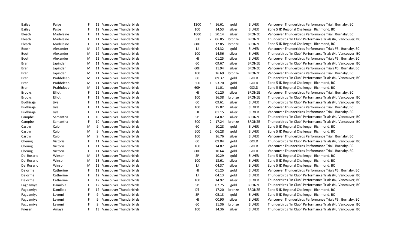| Bailey      | Paige     |    |   | 12 Vancouver Thunderbirds | 1200 | 4              | 16.61   | gold   | <b>SILVER</b> | Vancouver Thunderbirds Performance Trial, Burnaby, BC       |
|-------------|-----------|----|---|---------------------------|------|----------------|---------|--------|---------------|-------------------------------------------------------------|
| Bailey      | Paige     |    |   | 12 Vancouver Thunderbirds | 100  |                | 14.53   | silver | <b>SILVER</b> | Zone 5 JD Regional Challenge, Richmond, BC                  |
| Blesch      | Madeleine |    |   | 11 Vancouver Thunderbirds | 1000 | 3              | 50.14   | silver | <b>BRONZE</b> | Vancouver Thunderbirds Performance Trial, Burnaby, BC       |
| Blesch      | Madeleine | F  |   | 11 Vancouver Thunderbirds | 600  | $\overline{2}$ | 06.85   | bronze | <b>BRONZE</b> | Thunderbirds "In Club" Performance Trials #4, Vancouver, BC |
| Blesch      | Madeleine | F  |   | 11 Vancouver Thunderbirds | 60H  |                | 12.85   | bronze | <b>BRONZE</b> | Zone 5 JD Regional Challenge, Richmond, BC                  |
| Booth       | Alexander | M  |   | 12 Vancouver Thunderbirds | IJ   |                | 04.32   | gold   | <b>SILVER</b> | Vancouver Thunderbirds Performance Trials #5, Burnaby, BC   |
| Booth       | Alexander | M  |   | 12 Vancouver Thunderbirds | 100  |                | 14.56   | silver | <b>SILVER</b> | Thunderbirds "In Club" Performance Trials #4, Vancouver, BC |
| Booth       | Alexander | M  |   | 12 Vancouver Thunderbirds | HJ   |                | 01.25   | silver | <b>SILVER</b> | Vancouver Thunderbirds Performance Trials #5, Burnaby, BC   |
| Brar        | Japinder  | M  |   | 11 Vancouver Thunderbirds | 60   |                | 09.67   | silver | <b>BRONZE</b> | Thunderbirds "In Club" Performance Trials #4, Vancouver, BC |
| Brar        | Japinder  | M  |   | 11 Vancouver Thunderbirds | 60H  |                | 11.94   | silver | <b>BRONZE</b> | Vancouver Thunderbirds Performance Trials #5, Burnaby, BC   |
| Brar        | Japinder  | M  |   | 11 Vancouver Thunderbirds | 100  |                | 16.69   | bronze | <b>BRONZE</b> | Vancouver Thunderbirds Performance Trial, Burnaby, BC       |
| Brar        | Prabhdeep | M  |   | 11 Vancouver Thunderbirds | 60   |                | 09.37   | gold   | GOLD          | Thunderbirds "In Club" Performance Trials #4, Vancouver, BC |
| Brar        | Prabhdeep | M  |   | 11 Vancouver Thunderbirds | 600  | $\mathbf{1}$   | 53.70   | gold   | GOLD          | Zone 5 JD Regional Challenge, Richmond, BC                  |
| Brar        | Prabhdeep | M  |   | 11 Vancouver Thunderbirds | 60H  |                | 11.01   | gold   | GOLD          | Zone 5 JD Regional Challenge, Richmond, BC                  |
| Brooks      | Elliot    |    |   | 12 Vancouver Thunderbirds | HJ   |                | 01.20   | silver | <b>BRONZE</b> | Vancouver Thunderbirds Performance Trial, Burnaby, BC       |
| Brooks      | Elliot    |    |   | 12 Vancouver Thunderbirds | 100  |                | 16.38   | bronze | <b>BRONZE</b> | Thunderbirds "In Club" Performance Trials #4, Vancouver, BC |
| Budhiraja   | Jiya      |    |   | 11 Vancouver Thunderbirds | 60   |                | 09.61   | silver | <b>SILVER</b> | Thunderbirds "In Club" Performance Trials #4, Vancouver, BC |
| Budhiraja   | Jiya      |    |   | 11 Vancouver Thunderbirds | 100  |                | 15.82   | silver | <b>SILVER</b> | Vancouver Thunderbirds Performance Trial, Burnaby, BC       |
| Budhiraja   | Jiya      |    |   | 11 Vancouver Thunderbirds | HJ   |                | 01.15   | silver | <b>SILVER</b> | Vancouver Thunderbirds Performance Trial, Burnaby, BC       |
| Campbell    | Samantha  |    |   | 10 Vancouver Thunderbirds | SP   |                | 04.87   | silver | <b>BRONZE</b> | Thunderbirds "In Club" Performance Trials #4, Vancouver, BC |
| Campbell    | Samantha  |    |   | 10 Vancouver Thunderbirds | 600  |                | 2 17.24 | bronze | <b>BRONZE</b> | Thunderbirds "In Club" Performance Trials #4, Vancouver, BC |
| Castro      | Caio      | M  | 9 | Vancouver Thunderbirds    | 60   |                | 10.28   | gold   | <b>SILVER</b> | Zone 5 JD Regional Challenge, Richmond, BC                  |
| Castro      | Caio      | M  | q | Vancouver Thunderbirds    | 600  | $\overline{2}$ | 06.28   | gold   | <b>SILVER</b> | Zone 5 JD Regional Challenge, Richmond, BC                  |
| Castro      | Caio      | M  | 9 | Vancouver Thunderbirds    | 100  |                | 16.76   | silver | <b>SILVER</b> | Vancouver Thunderbirds Performance Trial, Burnaby, BC       |
| Cheung      | Victoria  |    |   | 11 Vancouver Thunderbirds | 60   |                | 09.04   | gold   | GOLD          | Thunderbirds "In Club" Performance Trials #4, Vancouver, BC |
| Cheung      | Victoria  |    |   | 11 Vancouver Thunderbirds | 100  |                | 14.87   | gold   | GOLD          | Vancouver Thunderbirds Performance Trial, Burnaby, BC       |
| Cheung      | Victoria  |    |   | 11 Vancouver Thunderbirds | 60H  |                | 10.64   | gold   | GOLD          | Vancouver Thunderbirds Performance Trial, Burnaby, BC       |
| Del Rosario | Winson    | M  |   | 13 Vancouver Thunderbirds | SP   |                | 10.29   | gold   | <b>SILVER</b> | Zone 5 JD Regional Challenge, Richmond, BC                  |
| Del Rosario | Winson    | M  |   | 13 Vancouver Thunderbirds | 100  |                | 13.61   | silver | <b>SILVER</b> | Zone 5 JD Regional Challenge, Richmond, BC                  |
| Del Rosario | Winson    | M  |   | 13 Vancouver Thunderbirds | U    |                | 04.37   | silver | <b>SILVER</b> | Zone 5 JD Regional Challenge, Richmond, BC                  |
| Delorme     | Catherine |    |   | 12 Vancouver Thunderbirds | HJ   |                | 01.25   | gold   | <b>SILVER</b> | Vancouver Thunderbirds Performance Trials #5, Burnaby, BC   |
| Delorme     | Catherine |    |   | 12 Vancouver Thunderbirds | IJ   |                | 04.13   | gold   | <b>SILVER</b> | Thunderbirds "In Club" Performance Trials #4, Vancouver, BC |
| Delorme     | Catherine |    |   | 12 Vancouver Thunderbirds | 100  |                | 14.92   | silver | <b>SILVER</b> | Thunderbirds "In Club" Performance Trials #4, Vancouver, BC |
| Fagbamiye   | Damilola  |    |   | 12 Vancouver Thunderbirds | SP   |                | 07.75   | gold   | <b>BRONZE</b> | Thunderbirds "In Club" Performance Trials #4, Vancouver, BC |
| Fagbamiye   | Damilola  |    |   | 12 Vancouver Thunderbirds | DT   |                | 17.20   | bronze | <b>BRONZE</b> | Zone 5 JD Regional Challenge, Richmond, BC                  |
| Fagbamiye   | Layomi    |    | q | Vancouver Thunderbirds    | SP   |                | 05.13   | gold   | <b>SILVER</b> | Zone 5 JD Regional Challenge, Richmond, BC                  |
| Fagbamiye   | Layomi    |    | 9 | Vancouver Thunderbirds    | HJ   |                | 00.90   | silver | <b>SILVER</b> | Vancouver Thunderbirds Performance Trials #5, Burnaby, BC   |
| Fagbamiye   | Layomi    |    | q | Vancouver Thunderbirds    | 60   |                | 11.36   | bronze | <b>SILVER</b> | Thunderbirds "In Club" Performance Trials #4, Vancouver, BC |
| Friesen     | Amaya     | F. |   | 13 Vancouver Thunderbirds | 100  |                | 14.36   | silver | <b>SILVER</b> | Thunderbirds "In Club" Performance Trials #4, Vancouver, BC |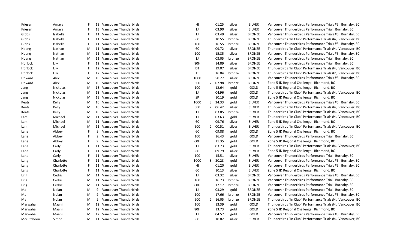| Friesen    | Amaya     |   |    | 13 Vancouver Thunderbirds | HJ        |                | 01.25   | silver | <b>SILVER</b> | Vancouver Thunderbirds Performance Trials #5, Burnaby, BC   |
|------------|-----------|---|----|---------------------------|-----------|----------------|---------|--------|---------------|-------------------------------------------------------------|
| Friesen    | Amaya     | F |    | 13 Vancouver Thunderbirds | IJ        |                | 03.90   | silver | <b>SILVER</b> | Vancouver Thunderbirds Performance Trial, Burnaby, BC       |
| Gibbs      | Isabelle  | F |    | 11 Vancouver Thunderbirds | IJ        |                | 03.49   | silver | <b>BRONZE</b> | Vancouver Thunderbirds Performance Trials #5, Burnaby, BC   |
| Gibbs      | Isabelle  |   |    | 11 Vancouver Thunderbirds | 60        |                | 10.55   | bronze | <b>BRONZE</b> | Thunderbirds "In Club" Performance Trials #4, Vancouver, BC |
| Gibbs      | Isabelle  | F |    | 11 Vancouver Thunderbirds | 100       |                | 16.55   | bronze | <b>BRONZE</b> | Vancouver Thunderbirds Performance Trials #5, Burnaby, BC   |
| Hoang      | Nathan    | M |    | 11 Vancouver Thunderbirds | 60        |                | 09.72   | silver | <b>BRONZE</b> | Thunderbirds "In Club" Performance Trials #4, Vancouver, BC |
| Hoang      | Nathan    | M |    | 11 Vancouver Thunderbirds | 100       |                | 15.85   | silver | <b>BRONZE</b> | Vancouver Thunderbirds Performance Trials #5, Burnaby, BC   |
| Hoang      | Nathan    | M |    | 11 Vancouver Thunderbirds | IJ        |                | 03.05   | bronze | <b>BRONZE</b> | Vancouver Thunderbirds Performance Trial, Burnaby, BC       |
| Horlock    | Lily      |   |    | 12 Vancouver Thunderbirds | 80H       |                | 14.89   | silver | <b>BRONZE</b> | Vancouver Thunderbirds Performance Trial, Burnaby, BC       |
| Horlock    | Lily      |   |    | 12 Vancouver Thunderbirds | DT        |                | 19.07   | silver | <b>BRONZE</b> | Thunderbirds "In Club" Performance Trials #4, Vancouver, BC |
| Horlock    | Lily      |   | 12 | Vancouver Thunderbirds    | JT        |                | 16.04   | bronze | <b>BRONZE</b> | Thunderbirds "In Club" Performance Trials #2, Vancouver, BC |
| Howard     | Alex      | M | 10 | Vancouver Thunderbirds    | 1000      | 3              | 50.27   | silver | <b>BRONZE</b> | Vancouver Thunderbirds Performance Trials #5, Burnaby, BC   |
| Howard     | Alex      | M | 10 | Vancouver Thunderbirds    | 600       | $\overline{2}$ | 07.98   | bronze | <b>BRONZE</b> | Zone 5 JD Regional Challenge, Richmond, BC                  |
| Jang       | Nickolas  | M |    | 13 Vancouver Thunderbirds | 100       |                | 12.64   | gold   | GOLD          | Zone 5 JD Regional Challenge, Richmond, BC                  |
| Jang       | Nickolas  | M |    | 13 Vancouver Thunderbirds | IJ        |                | 04.96   | gold   | GOLD          | Thunderbirds "In Club" Performance Trials #4, Vancouver, BC |
| Jang       | Nickolas  | M |    | 13 Vancouver Thunderbirds | <b>SP</b> |                | 10.19   | gold   | GOLD          | Zone 5 JD Regional Challenge, Richmond, BC                  |
| Keats      | Kelly     | M | 10 | Vancouver Thunderbirds    | 1000      | 3              | 34.33   | gold   | <b>SILVER</b> | Vancouver Thunderbirds Performance Trials #5, Burnaby, BC   |
| Keats      | Kelly     | M |    | 10 Vancouver Thunderbirds | 600       | $\overline{2}$ | 06.42   | silver | <b>SILVER</b> | Thunderbirds "In Club" Performance Trials #4, Vancouver, BC |
| Keats      | Kelly     | M | 10 | Vancouver Thunderbirds    | IJ        |                | 03.05   | bronze | <b>SILVER</b> | Thunderbirds "In Club" Performance Trials #4, Vancouver, BC |
| Lam        | Michael   | M |    | 11 Vancouver Thunderbirds | IJ        |                | 03.63   | gold   | <b>SILVER</b> | Thunderbirds "In Club" Performance Trials #4, Vancouver, BC |
| Lam        | Michael   | M |    | 11 Vancouver Thunderbirds | 60        |                | 09.76   | silver | <b>SILVER</b> | Zone 5 JD Regional Challenge, Richmond, BC                  |
| Lam        | Michael   | M |    | 11 Vancouver Thunderbirds | 600       | $\overline{2}$ | 00.51   | silver | <b>SILVER</b> | Thunderbirds "In Club" Performance Trials #4, Vancouver, BC |
| Lane       | Abbey     | F | 9  | Vancouver Thunderbirds    | 60        |                | 09.88   | gold   | GOLD          | Zone 5 JD Regional Challenge, Richmond, BC                  |
| Lane       | Abbey     | F | 9  | Vancouver Thunderbirds    | 100       |                | 16.43   | gold   | GOLD          | Vancouver Thunderbirds Performance Trial, Burnaby, BC       |
| Lane       | Abbey     | F | 9  | Vancouver Thunderbirds    | 60H       |                | 11.35   | gold   | GOLD          | Zone 5 JD Regional Challenge, Richmond, BC                  |
| Lane       | Carly     | F |    | 11 Vancouver Thunderbirds | IJ        |                | 03.73   | gold   | <b>SILVER</b> | Thunderbirds "In Club" Performance Trials #4, Vancouver, BC |
| Lane       | Carly     | F |    | 11 Vancouver Thunderbirds | 60        |                | 09.79   | silver | <b>SILVER</b> | Zone 5 JD Regional Challenge, Richmond, BC                  |
| Lane       | Carly     | F | 11 | Vancouver Thunderbirds    | 100       |                | 15.51   | silver | <b>SILVER</b> | Vancouver Thunderbirds Performance Trial, Burnaby, BC       |
| Lang       | Charlotte | F |    | 11 Vancouver Thunderbirds | 1000      | 3              | 30.23   | gold   | <b>SILVER</b> | Vancouver Thunderbirds Performance Trials #5, Burnaby, BC   |
| Lang       | Charlotte | F | 11 | Vancouver Thunderbirds    | HJ        |                | 01.20   | gold   | <b>SILVER</b> | Vancouver Thunderbirds Performance Trials #5, Burnaby, BC   |
| Lang       | Charlotte | F |    | 11 Vancouver Thunderbirds | 60        |                | 10.13   | silver | <b>SILVER</b> | Zone 5 JD Regional Challenge, Richmond, BC                  |
| Ling       | Cedric    | M |    | 11 Vancouver Thunderbirds | IJ        |                | 03.32   | silver | <b>BRONZE</b> | Vancouver Thunderbirds Performance Trials #5, Burnaby, BC   |
| Ling       | Cedric    | M |    | 11 Vancouver Thunderbirds | 100       |                | 16.73   | bronze | <b>BRONZE</b> | Vancouver Thunderbirds Performance Trial, Burnaby, BC       |
| Ling       | Cedric    | M |    | 11 Vancouver Thunderbirds | 60H       |                | 12.17   | bronze | <b>BRONZE</b> | Vancouver Thunderbirds Performance Trial, Burnaby, BC       |
| Ma         | Nolan     | M | 9  | Vancouver Thunderbirds    | IJ        |                | 03.29   | gold   | <b>BRONZE</b> | Vancouver Thunderbirds Performance Trial, Burnaby, BC       |
| Ma         | Nolan     | M | 9  | Vancouver Thunderbirds    | 100       |                | 17.66   | bronze | <b>BRONZE</b> | Vancouver Thunderbirds Performance Trials #5, Burnaby, BC   |
| Ma         | Nolan     | M | 9  | Vancouver Thunderbirds    | 600       |                | 2 16.05 | bronze | <b>BRONZE</b> | Thunderbirds "In Club" Performance Trials #4, Vancouver, BC |
| Marwaha    | Maahi     | M |    | 12 Vancouver Thunderbirds | 100       |                | 13.39   | gold   | GOLD          | Thunderbirds "In Club" Performance Trials #4, Vancouver, BC |
| Marwaha    | Maahi     | M |    | 12 Vancouver Thunderbirds | 80H       |                | 13.73   | gold   | GOLD          | Zone 5 JD Regional Challenge, Richmond, BC                  |
| Marwaha    | Maahi     | M |    | 12 Vancouver Thunderbirds | IJ        |                | 04.57   | gold   | GOLD          | Vancouver Thunderbirds Performance Trials #5, Burnaby, BC   |
| Mccutcheon | Simon     | M |    | 11 Vancouver Thunderbirds | 60        |                | 10.02   | silver | <b>SILVER</b> | Thunderbirds "In Club" Performance Trials #4, Vancouver, BC |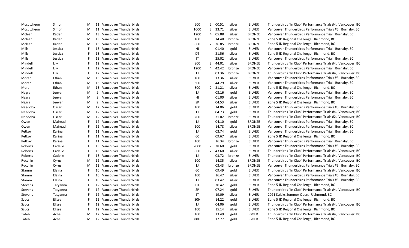| Mccutcheon | Simon    | M |    | 11 Vancouver Thunderbirds | 600  | $\overline{2}$ | 00.51 | silver | <b>SILVER</b> | Thunderbirds "In Club" Performance Trials #4, Vancouver, BC |
|------------|----------|---|----|---------------------------|------|----------------|-------|--------|---------------|-------------------------------------------------------------|
| Mccutcheon | Simon    | M |    | 11 Vancouver Thunderbirds | 1000 | 3              | 33.71 | silver | <b>SILVER</b> | Vancouver Thunderbirds Performance Trials #5, Burnaby, BC   |
| Mclean     | Kaden    | M |    | 13 Vancouver Thunderbirds | 1200 | 4              | 05.88 | silver | <b>BRONZE</b> | Vancouver Thunderbirds Performance Trial, Burnaby, BC       |
| Mclean     | Kaden    | M |    | 13 Vancouver Thunderbirds | 100  |                | 14.48 | bronze | <b>BRONZE</b> | Zone 5 JD Regional Challenge, Richmond, BC                  |
| Mclean     | Kaden    | M | 13 | Vancouver Thunderbirds    | 800  | $\mathbf{2}$   | 36.85 | bronze | <b>BRONZE</b> | Zone 5 JD Regional Challenge, Richmond, BC                  |
| Mills      | Jessica  | F | 13 | Vancouver Thunderbirds    | HJ   |                | 01.40 | gold   | <b>SILVER</b> | Vancouver Thunderbirds Performance Trial, Burnaby, BC       |
| Mills      | Jessica  | F | 13 | Vancouver Thunderbirds    | DT   |                | 21.56 | silver | <b>SILVER</b> | Zone 5 JD Regional Challenge, Richmond, BC                  |
| Mills      | Jessica  | F | 13 | Vancouver Thunderbirds    | JT   |                | 25.02 | silver | <b>SILVER</b> | Vancouver Thunderbirds Performance Trial, Burnaby, BC       |
| Mindell    | Lily     | F |    | 12 Vancouver Thunderbirds | 800  | $\overline{2}$ | 44.01 | silver | <b>BRONZE</b> | Thunderbirds "In Club" Performance Trials #4, Vancouver, BC |
| Mindell    | Lily     | F |    | 12 Vancouver Thunderbirds | 1200 | 4              | 42.42 | bronze | <b>BRONZE</b> | Vancouver Thunderbirds Performance Trial, Burnaby, BC       |
| Mindell    | Lily     | F | 12 | Vancouver Thunderbirds    | IJ   |                | 03.36 | bronze | <b>BRONZE</b> | Thunderbirds "In Club" Performance Trials #4, Vancouver, BC |
| Moran      | Ethan    | M | 13 | Vancouver Thunderbirds    | 100  |                | 13.36 | silver | <b>SILVER</b> | Vancouver Thunderbirds Performance Trials #5, Burnaby, BC   |
| Moran      | Ethan    | M | 13 | Vancouver Thunderbirds    | 300  |                | 44.29 | silver | <b>SILVER</b> | Vancouver Thunderbirds Performance Trial, Burnaby, BC       |
| Moran      | Ethan    | M | 13 | Vancouver Thunderbirds    | 800  | $\overline{2}$ | 31.21 | silver | <b>SILVER</b> | Zone 5 JD Regional Challenge, Richmond, BC                  |
| Nagra      | Jeevan   | M | 9  | Vancouver Thunderbirds    | IJ   |                | 03.16 | gold   | <b>SILVER</b> | Vancouver Thunderbirds Performance Trial, Burnaby, BC       |
| Nagra      | Jeevan   | M | 9  | Vancouver Thunderbirds    | HJ   |                | 01.00 | silver | <b>SILVER</b> | Vancouver Thunderbirds Performance Trial, Burnaby, BC       |
| Nagra      | Jeevan   | M | 9  | Vancouver Thunderbirds    | SP   |                | 04.53 | silver | <b>SILVER</b> | Zone 5 JD Regional Challenge, Richmond, BC                  |
| Needoba    | Oscar    | M |    | 12 Vancouver Thunderbirds | 100  |                | 14.06 | gold   | <b>SILVER</b> | Vancouver Thunderbirds Performance Trials #5, Burnaby, BC   |
| Needoba    | Oscar    | M |    | 12 Vancouver Thunderbirds | IJ   |                | 04.73 | gold   | <b>SILVER</b> | Thunderbirds "In Club" Performance Trials #4, Vancouver, BC |
| Needoba    | Oscar    | M |    | 12 Vancouver Thunderbirds | 200  |                | 31.02 | bronze | <b>SILVER</b> | Thunderbirds "In Club" Performance Trials #2, Vancouver, BC |
| Owen       | Mairead  |   |    | 12 Vancouver Thunderbirds | IJ   |                | 04.10 | gold   | <b>BRONZE</b> | Vancouver Thunderbirds Performance Trial, Burnaby, BC       |
| Owen       | Mairead  |   |    | 12 Vancouver Thunderbirds | 100  |                | 14.78 | silver | <b>BRONZE</b> | Vancouver Thunderbirds Performance Trial, Burnaby, BC       |
| Petkov     | Karina   |   |    | 11 Vancouver Thunderbirds | IJ   |                | 03.74 | gold   | <b>SILVER</b> | Vancouver Thunderbirds Performance Trial, Burnaby, BC       |
| Petkov     | Karina   |   |    | 11 Vancouver Thunderbirds | 60   |                | 09.67 | silver | <b>SILVER</b> | Zone 5 JD Regional Challenge, Richmond, BC                  |
| Petkov     | Karina   | F |    | 11 Vancouver Thunderbirds | 100  |                | 16.34 | bronze | <b>SILVER</b> | Vancouver Thunderbirds Performance Trial, Burnaby, BC       |
| Roberts    | Cadelle  |   | 13 | Vancouver Thunderbirds    | 2000 | $\overline{7}$ | 28.60 | gold   | <b>SILVER</b> | Vancouver Thunderbirds Performance Trials #5, Burnaby, BC   |
| Roberts    | Cadelle  | F |    | 13 Vancouver Thunderbirds | 800  | $\overline{2}$ | 43.60 | silver | <b>SILVER</b> | Thunderbirds "In Club" Performance Trials #4, Vancouver, BC |
| Roberts    | Cadelle  | F | 13 | Vancouver Thunderbirds    | IJ   |                | 03.72 | bronze | <b>SILVER</b> | Thunderbirds "In Club" Performance Trials #4, Vancouver, BC |
| Rucchin    | Cyrus    | M | 12 | Vancouver Thunderbirds    | 100  |                | 14.85 | silver | <b>BRONZE</b> | Thunderbirds "In Club" Performance Trials #4, Vancouver, BC |
| Rucchin    | Cyrus    | M | 12 | Vancouver Thunderbirds    | IJ   |                | 03.43 | bronze | <b>BRONZE</b> | Vancouver Thunderbirds Performance Trials #5, Burnaby, BC   |
| Stamm      | Elaina   | F | 10 | Vancouver Thunderbirds    | 60   |                | 09.49 | gold   | <b>SILVER</b> | Thunderbirds "In Club" Performance Trials #4, Vancouver, BC |
| Stamm      | Elaina   | F | 10 | Vancouver Thunderbirds    | 100  |                | 16.47 | silver | <b>SILVER</b> | Vancouver Thunderbirds Performance Trials #5, Burnaby, BC   |
| Stamm      | Elaina   | F | 10 | Vancouver Thunderbirds    | IJ   |                | 03.42 | silver | <b>SILVER</b> | Vancouver Thunderbirds Performance Trials #5, Burnaby, BC   |
| Stevens    | Tatyanna | F |    | 12 Vancouver Thunderbirds | DT   |                | 30.42 | gold   | <b>SILVER</b> | Zone 5 JD Regional Challenge, Richmond, BC                  |
| Stevens    | Tatyanna | F |    | 12 Vancouver Thunderbirds | SP   |                | 07.24 | gold   | <b>SILVER</b> | Thunderbirds "In Club" Performance Trials #4, Vancouver, BC |
| Stevens    | Tatyanna | F |    | 12 Vancouver Thunderbirds | JT   |                | 19.09 | silver | <b>SILVER</b> | 2021 Kajaks Summer Open, Richmond, BC                       |
| Szucs      | Elisse   | F |    | 12 Vancouver Thunderbirds | 80H  |                | 14.22 | gold   | <b>SILVER</b> | Zone 5 JD Regional Challenge, Richmond, BC                  |
| Szucs      | Elisse   |   |    | 12 Vancouver Thunderbirds | IJ   |                | 04.06 | gold   | <b>SILVER</b> | Thunderbirds "In Club" Performance Trials #4, Vancouver, BC |
| Szucs      | Elisse   |   |    | 12 Vancouver Thunderbirds | 100  |                | 15.14 | silver | <b>SILVER</b> | Zone 5 JD Regional Challenge, Richmond, BC                  |
| Tateh      | Ache     | M |    | 12 Vancouver Thunderbirds | 100  |                | 13.49 | gold   | GOLD          | Thunderbirds "In Club" Performance Trials #4, Vancouver, BC |
| Tateh      | Ache     | М |    | 12 Vancouver Thunderbirds | 80H  |                | 12.77 | gold   | GOLD          | Zone 5 JD Regional Challenge, Richmond, BC                  |